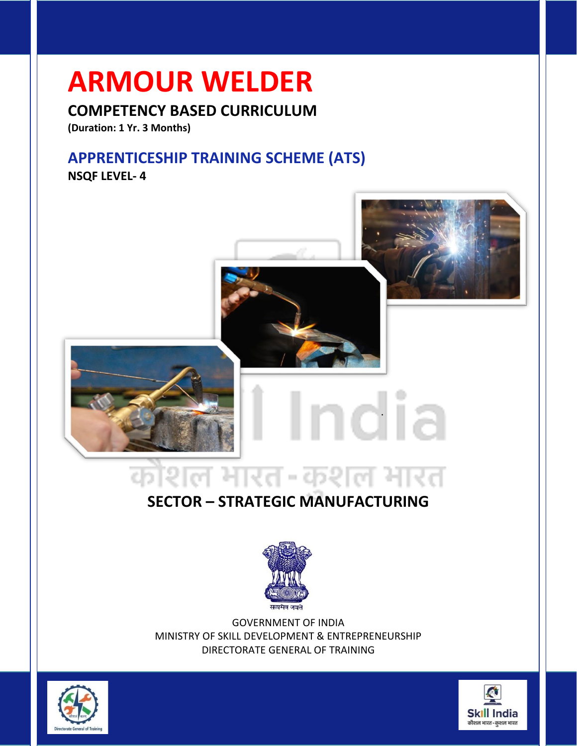# **ARMOUR WELDER**

# **COMPETENCY BASED CURRICULUM**

**(Duration: 1 Yr. 3 Months)**

# **APPRENTICESHIP TRAINING SCHEME (ATS)**

**NSQF LEVEL- 4**



# गेशल भारत-कशल भारत ¢.

# **SECTOR – STRATEGIC MANUFACTURING**



GOVERNMENT OF INDIA MINISTRY OF SKILL DEVELOPMENT & ENTREPRENEURSHIP DIRECTORATE GENERAL OF TRAINING



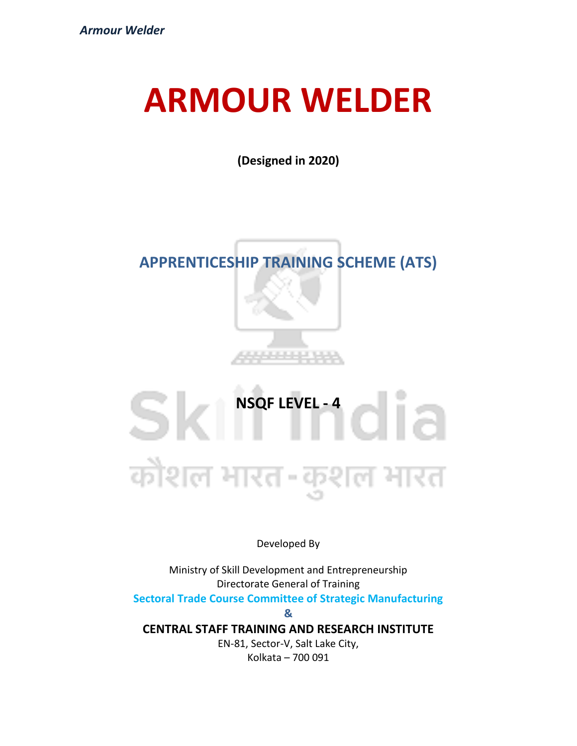# **ARMOUR WELDER**

**(Designed in 2020)**

# **APPRENTICESHIP TRAINING SCHEME (ATS)**



**NSQF LEVEL - 4**<br> **All Constants** Sk कौशल भारत -कशल भारत

Developed By

Ministry of Skill Development and Entrepreneurship Directorate General of Training

**Sectoral Trade Course Committee of Strategic Manufacturing**

**&**

**CENTRAL STAFF TRAINING AND RESEARCH INSTITUTE**

EN-81, Sector-V, Salt Lake City, Kolkata – 700 091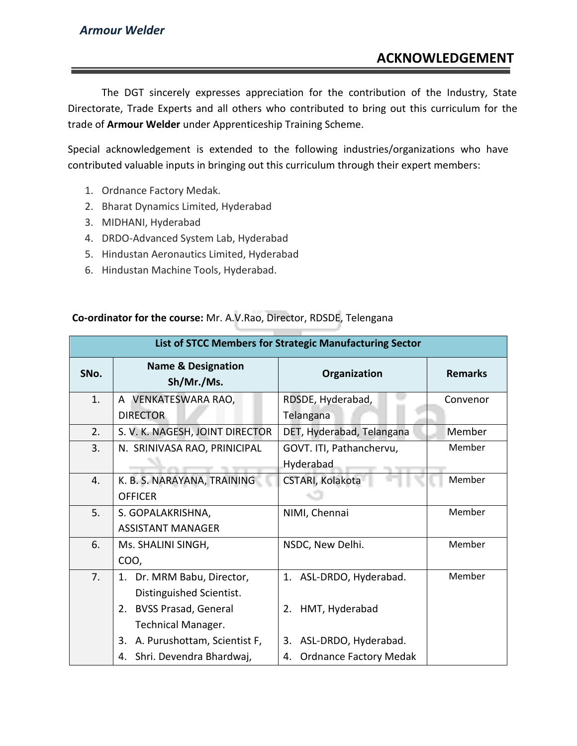The DGT sincerely expresses appreciation for the contribution of the Industry, State Directorate, Trade Experts and all others who contributed to bring out this curriculum for the trade of **Armour Welder** under Apprenticeship Training Scheme.

Special acknowledgement is extended to the following industries/organizations who have contributed valuable inputs in bringing out this curriculum through their expert members:

- 1. Ordnance Factory Medak.
- 2. Bharat Dynamics Limited, Hyderabad
- 3. MIDHANI, Hyderabad
- 4. DRDO-Advanced System Lab, Hyderabad
- 5. Hindustan Aeronautics Limited, Hyderabad
- 6. Hindustan Machine Tools, Hyderabad.

#### **Co-ordinator for the course:** Mr. A.V.Rao, Director, RDSDE, Telengana

|      | List of STCC Members for Strategic Manufacturing Sector |                            |                |  |  |
|------|---------------------------------------------------------|----------------------------|----------------|--|--|
| SNo. | <b>Name &amp; Designation</b><br>Sh/Mr./Ms.             | Organization               | <b>Remarks</b> |  |  |
| 1.   | <b>VENKATESWARA RAO,</b><br>$\mathsf{A}$                | RDSDE, Hyderabad,          | Convenor       |  |  |
|      | <b>DIRECTOR</b>                                         | Telangana                  |                |  |  |
| 2.   | S. V. K. NAGESH, JOINT DIRECTOR                         | DET, Hyderabad, Telangana  | Member         |  |  |
| 3.   | N. SRINIVASA RAO, PRINICIPAL                            | GOVT. ITI, Pathanchervu,   | Member         |  |  |
|      |                                                         | Hyderabad                  |                |  |  |
| 4.   | K. B. S. NARAYANA, TRAINING                             | CSTARI, Kolakota           | Member         |  |  |
|      | <b>OFFICER</b>                                          |                            |                |  |  |
| 5.   | S. GOPALAKRISHNA,                                       | NIMI, Chennai              | Member         |  |  |
|      | <b>ASSISTANT MANAGER</b>                                |                            |                |  |  |
| 6.   | Ms. SHALINI SINGH,                                      | NSDC, New Delhi.           | Member         |  |  |
|      | COO,                                                    |                            |                |  |  |
| 7.   | 1. Dr. MRM Babu, Director,                              | 1. ASL-DRDO, Hyderabad.    | Member         |  |  |
|      | Distinguished Scientist.                                |                            |                |  |  |
|      | <b>BVSS Prasad, General</b><br>2.                       | 2. HMT, Hyderabad          |                |  |  |
|      | <b>Technical Manager.</b>                               |                            |                |  |  |
|      | A. Purushottam, Scientist F,<br>3.                      | ASL-DRDO, Hyderabad.<br>3. |                |  |  |
|      | Shri. Devendra Bhardwaj,<br>4.                          | 4. Ordnance Factory Medak  |                |  |  |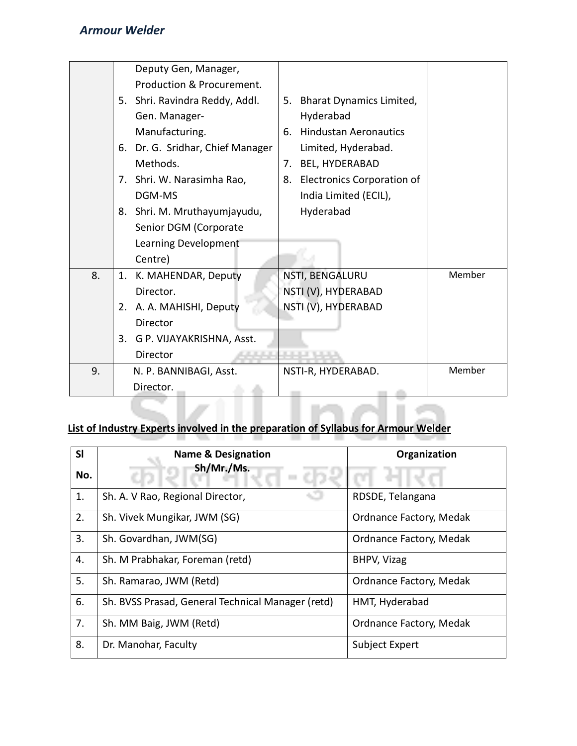|    | Deputy Gen, Manager,             |                                         |        |
|----|----------------------------------|-----------------------------------------|--------|
|    | Production & Procurement.        |                                         |        |
|    | 5. Shri. Ravindra Reddy, Addl.   | <b>Bharat Dynamics Limited,</b><br>5.   |        |
|    | Gen. Manager-                    | Hyderabad                               |        |
|    |                                  | <b>Hindustan Aeronautics</b>            |        |
|    | Manufacturing.                   | 6.                                      |        |
|    | 6. Dr. G. Sridhar, Chief Manager | Limited, Hyderabad.                     |        |
|    | Methods.                         | <b>BEL, HYDERABAD</b><br>7.             |        |
|    | 7. Shri. W. Narasimha Rao,       | <b>Electronics Corporation of</b><br>8. |        |
|    | DGM-MS                           | India Limited (ECIL),                   |        |
|    | 8. Shri. M. Mruthayumjayudu,     | Hyderabad                               |        |
|    | Senior DGM (Corporate            |                                         |        |
|    | Learning Development             |                                         |        |
|    | Centre)                          |                                         |        |
| 8. | 1. K. MAHENDAR, Deputy           | NSTI, BENGALURU                         | Member |
|    | Director.                        | NSTI (V), HYDERABAD                     |        |
|    | 2. A. A. MAHISHI, Deputy         | NSTI (V), HYDERABAD                     |        |
|    | <b>Director</b>                  |                                         |        |
|    | 3. G P. VIJAYAKRISHNA, Asst.     |                                         |        |
|    | Director                         |                                         |        |
| 9. | N. P. BANNIBAGI, Asst.           | NSTI-R, HYDERABAD.                      | Member |
|    | Director.                        | <b>Contract</b>                         |        |

### **List of Industry Experts involved in the preparation of Syllabus for Armour Welder**

| SI  | <b>Name &amp; Designation</b>                     | Organization            |
|-----|---------------------------------------------------|-------------------------|
| No. | Sh/Mr./Ms.                                        |                         |
| 1.  | Sh. A. V Rao, Regional Director,                  | RDSDE, Telangana        |
| 2.  | Sh. Vivek Mungikar, JWM (SG)                      | Ordnance Factory, Medak |
| 3.  | Sh. Govardhan, JWM(SG)                            | Ordnance Factory, Medak |
| 4.  | Sh. M Prabhakar, Foreman (retd)                   | BHPV, Vizag             |
| 5.  | Sh. Ramarao, JWM (Retd)                           | Ordnance Factory, Medak |
| 6.  | Sh. BVSS Prasad, General Technical Manager (retd) | HMT, Hyderabad          |
| 7.  | Sh. MM Baig, JWM (Retd)                           | Ordnance Factory, Medak |
| 8.  | Dr. Manohar, Faculty                              | Subject Expert          |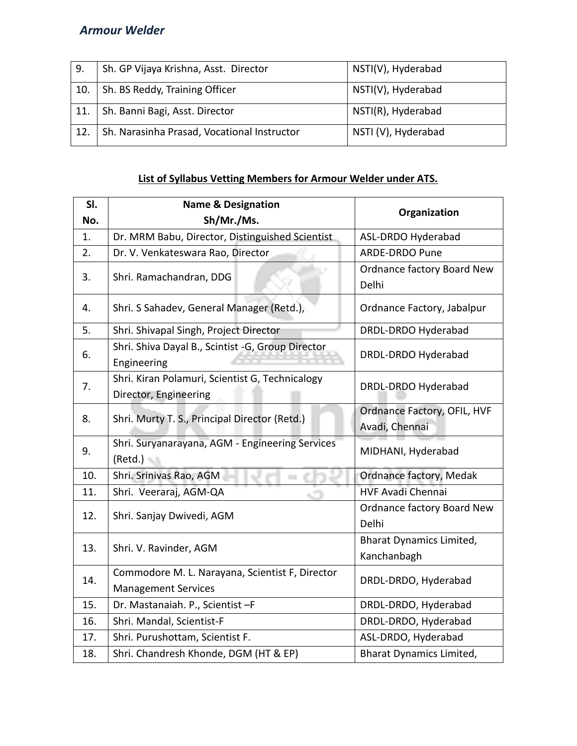| 9.  | Sh. GP Vijaya Krishna, Asst. Director       | NSTI(V), Hyderabad  |
|-----|---------------------------------------------|---------------------|
| 10. | Sh. BS Reddy, Training Officer              | NSTI(V), Hyderabad  |
| 11. | Sh. Banni Bagi, Asst. Director              | NSTI(R), Hyderabad  |
| 12. | Sh. Narasinha Prasad, Vocational Instructor | NSTI (V), Hyderabad |

# **List of Syllabus Vetting Members for Armour Welder under ATS.**

| SI. | <b>Name &amp; Designation</b><br>Organization                                 |                                                |
|-----|-------------------------------------------------------------------------------|------------------------------------------------|
| No. | Sh/Mr./Ms.                                                                    |                                                |
| 1.  | Dr. MRM Babu, Director, Distinguished Scientist                               | ASL-DRDO Hyderabad                             |
| 2.  | Dr. V. Venkateswara Rao, Director                                             | <b>ARDE-DRDO Pune</b>                          |
| 3.  | Shri. Ramachandran, DDG                                                       | Ordnance factory Board New<br>Delhi            |
| 4.  | Shri. S Sahadev, General Manager (Retd.),                                     | Ordnance Factory, Jabalpur                     |
| 5.  | Shri. Shivapal Singh, Project Director                                        | DRDL-DRDO Hyderabad                            |
| 6.  | Shri. Shiva Dayal B., Scintist -G, Group Director<br>Engineering              | DRDL-DRDO Hyderabad                            |
| 7.  | Shri. Kiran Polamuri, Scientist G, Technicalogy<br>Director, Engineering      | DRDL-DRDO Hyderabad                            |
| 8.  | Shri. Murty T. S., Principal Director (Retd.)                                 | Ordnance Factory, OFIL, HVF<br>Avadi, Chennai  |
| 9.  | Shri. Suryanarayana, AGM - Engineering Services<br>$(Retd.) -$                | MIDHANI, Hyderabad                             |
| 10. | Shri. Srinivas Rao, AGM                                                       | Ordnance factory, Medak                        |
| 11. | Shri. Veeraraj, AGM-QA                                                        | <b>HVF Avadi Chennai</b>                       |
| 12. | Shri. Sanjay Dwivedi, AGM                                                     | Ordnance factory Board New<br>Delhi            |
| 13. | Shri. V. Ravinder, AGM                                                        | <b>Bharat Dynamics Limited,</b><br>Kanchanbagh |
| 14. | Commodore M. L. Narayana, Scientist F, Director<br><b>Management Services</b> | DRDL-DRDO, Hyderabad                           |
| 15. | Dr. Mastanaiah. P., Scientist-F                                               | DRDL-DRDO, Hyderabad                           |
| 16. | Shri. Mandal, Scientist-F                                                     | DRDL-DRDO, Hyderabad                           |
| 17. | Shri. Purushottam, Scientist F.                                               | ASL-DRDO, Hyderabad                            |
| 18. | Shri. Chandresh Khonde, DGM (HT & EP)                                         | <b>Bharat Dynamics Limited,</b>                |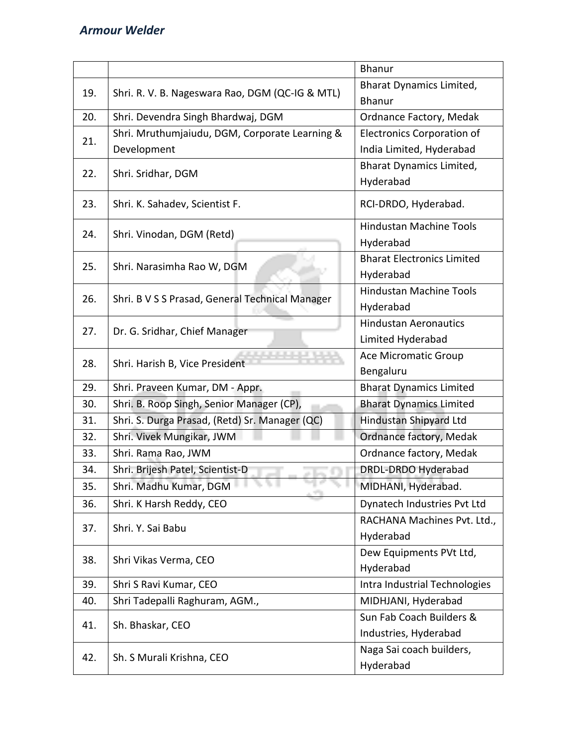|     |                                                 | <b>Bhanur</b>                               |
|-----|-------------------------------------------------|---------------------------------------------|
| 19. | Shri. R. V. B. Nageswara Rao, DGM (QC-IG & MTL) | Bharat Dynamics Limited,<br><b>Bhanur</b>   |
| 20. | Shri. Devendra Singh Bhardwaj, DGM              | Ordnance Factory, Medak                     |
|     | Shri. Mruthumjaiudu, DGM, Corporate Learning &  | <b>Electronics Corporation of</b>           |
| 21. | Development                                     | India Limited, Hyderabad                    |
| 22. | Shri. Sridhar, DGM                              | <b>Bharat Dynamics Limited,</b>             |
|     |                                                 | Hyderabad                                   |
| 23. | Shri. K. Sahadev, Scientist F.                  | RCI-DRDO, Hyderabad.                        |
| 24. | Shri. Vinodan, DGM (Retd)                       | <b>Hindustan Machine Tools</b><br>Hyderabad |
|     |                                                 | <b>Bharat Electronics Limited</b>           |
| 25. | Shri. Narasimha Rao W, DGM                      | Hyderabad                                   |
|     |                                                 | <b>Hindustan Machine Tools</b>              |
| 26. | Shri. B V S S Prasad, General Technical Manager | Hyderabad                                   |
|     |                                                 | <b>Hindustan Aeronautics</b>                |
| 27. | Dr. G. Sridhar, Chief Manager                   | Limited Hyderabad                           |
|     |                                                 | Ace Micromatic Group                        |
| 28. | Shri. Harish B, Vice President                  | Bengaluru                                   |
| 29. | Shri. Praveen Kumar, DM - Appr.                 | <b>Bharat Dynamics Limited</b>              |
| 30. | Shri. B. Roop Singh, Senior Manager (CP),       | <b>Bharat Dynamics Limited</b>              |
| 31. | Shri. S. Durga Prasad, (Retd) Sr. Manager (QC)  | Hindustan Shipyard Ltd                      |
| 32. | Shri. Vivek Mungikar, JWM                       | Ordnance factory, Medak                     |
| 33. | Shri. Rama Rao, JWM                             | Ordnance factory, Medak                     |
| 34. | Shri. Brijesh Patel, Scientist-D                | DRDL-DRDO Hyderabad                         |
| 35. | 19. To 11<br>Shri. Madhu Kumar, DGM             | MIDHANI, Hyderabad.                         |
| 36. | Shri. K Harsh Reddy, CEO                        | Dynatech Industries Pvt Ltd                 |
| 37. | Shri. Y. Sai Babu                               | RACHANA Machines Pvt. Ltd.,                 |
|     |                                                 | Hyderabad                                   |
| 38. | Shri Vikas Verma, CEO                           | Dew Equipments PVt Ltd,                     |
|     |                                                 | Hyderabad                                   |
| 39. | Shri S Ravi Kumar, CEO                          | Intra Industrial Technologies               |
| 40. | Shri Tadepalli Raghuram, AGM.,                  | MIDHJANI, Hyderabad                         |
| 41. | Sh. Bhaskar, CEO                                | Sun Fab Coach Builders &                    |
|     |                                                 | Industries, Hyderabad                       |
| 42. | Sh. S Murali Krishna, CEO                       | Naga Sai coach builders,                    |
|     |                                                 | Hyderabad                                   |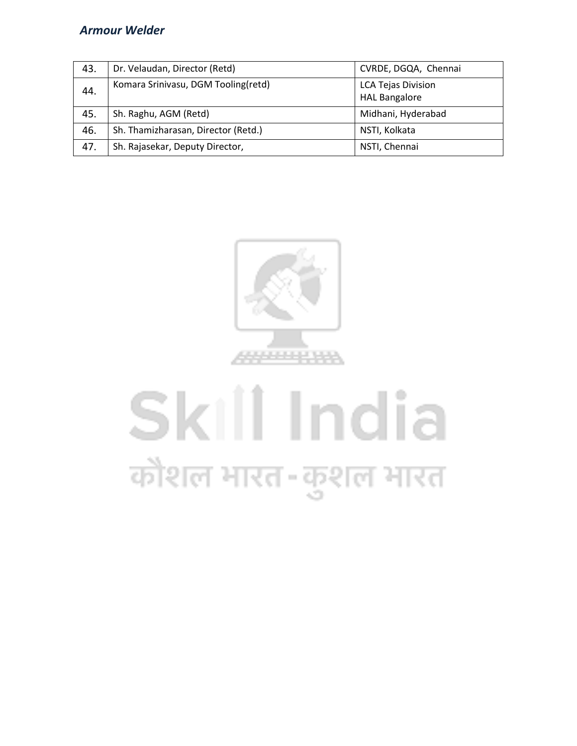| 43. | Dr. Velaudan, Director (Retd)       | CVRDE, DGQA, Chennai                              |
|-----|-------------------------------------|---------------------------------------------------|
| 44. | Komara Srinivasu, DGM Tooling(retd) | <b>LCA Tejas Division</b><br><b>HAL Bangalore</b> |
| 45. | Sh. Raghu, AGM (Retd)               | Midhani, Hyderabad                                |
| 46. | Sh. Thamizharasan, Director (Retd.) | NSTI, Kolkata                                     |
| 47. | Sh. Rajasekar, Deputy Director,     | NSTI, Chennai                                     |



# Skill India कौशल भारत-कुशल भारत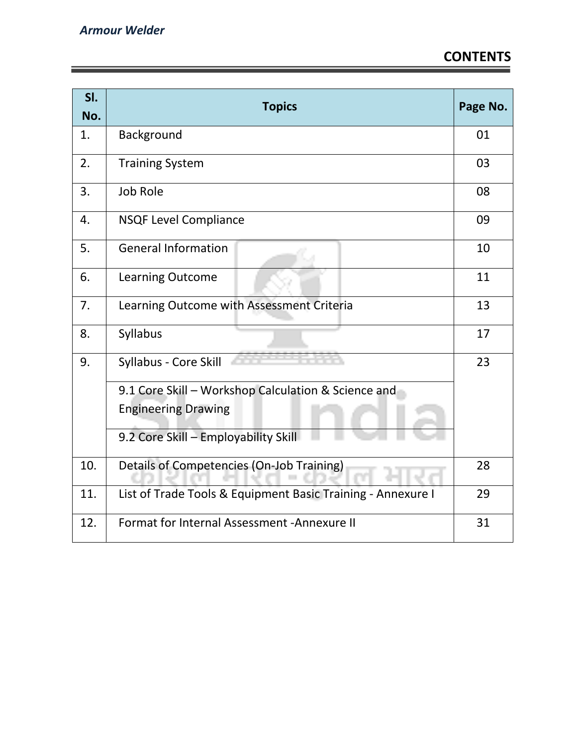<u> 1989 - Johann Stein, marwolaethau a bhann an t-Amhair an t-Amhair an t-Amhair an t-Amhair an t-Amhair an t-A</u>

| SI.<br>No. | <b>Topics</b>                                               | Page No. |
|------------|-------------------------------------------------------------|----------|
| 1.         | Background                                                  | 01       |
| 2.         | <b>Training System</b>                                      | 03       |
| 3.         | <b>Job Role</b>                                             | 08       |
| 4.         | <b>NSQF Level Compliance</b>                                | 09       |
| 5.         | <b>General Information</b>                                  | 10       |
| 6.         | <b>Learning Outcome</b>                                     | 11       |
| 7.         | Learning Outcome with Assessment Criteria                   | 13       |
| 8.         | Syllabus                                                    | 17       |
| 9.         | Syllabus - Core Skill                                       | 23       |
|            | 9.1 Core Skill - Workshop Calculation & Science and         |          |
|            | <b>Engineering Drawing</b>                                  |          |
|            | 9.2 Core Skill - Employability Skill                        |          |
| 10.        | Details of Competencies (On-Job Training)                   |          |
| 11.        | List of Trade Tools & Equipment Basic Training - Annexure I |          |
| 12.        | Format for Internal Assessment - Annexure II                | 31       |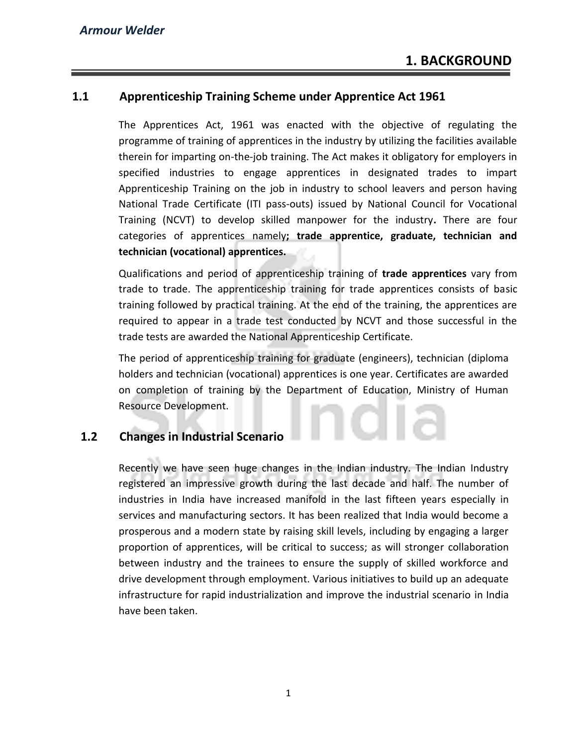### **1.1 Apprenticeship Training Scheme under Apprentice Act 1961**

The Apprentices Act, 1961 was enacted with the objective of regulating the programme of training of apprentices in the industry by utilizing the facilities available therein for imparting on-the-job training. The Act makes it obligatory for employers in specified industries to engage apprentices in designated trades to impart Apprenticeship Training on the job in industry to school leavers and person having National Trade Certificate (ITI pass-outs) issued by National Council for Vocational Training (NCVT) to develop skilled manpower for the industry**.** There are four categories of apprentices namely**; trade apprentice, graduate, technician and technician (vocational) apprentices.** 

Qualifications and period of apprenticeship training of **trade apprentices** vary from trade to trade. The apprenticeship training for trade apprentices consists of basic training followed by practical training. At the end of the training, the apprentices are required to appear in a trade test conducted by NCVT and those successful in the trade tests are awarded the National Apprenticeship Certificate.

The period of apprenticeship training for graduate (engineers), technician (diploma holders and technician (vocational) apprentices is one year. Certificates are awarded on completion of training by the Department of Education, Ministry of Human Resource Development.

# **1.2 Changes in Industrial Scenario**

Recently we have seen huge changes in the Indian industry. The Indian Industry registered an impressive growth during the last decade and half. The number of industries in India have increased manifold in the last fifteen years especially in services and manufacturing sectors. It has been realized that India would become a prosperous and a modern state by raising skill levels, including by engaging a larger proportion of apprentices, will be critical to success; as will stronger collaboration between industry and the trainees to ensure the supply of skilled workforce and drive development through employment. Various initiatives to build up an adequate infrastructure for rapid industrialization and improve the industrial scenario in India have been taken.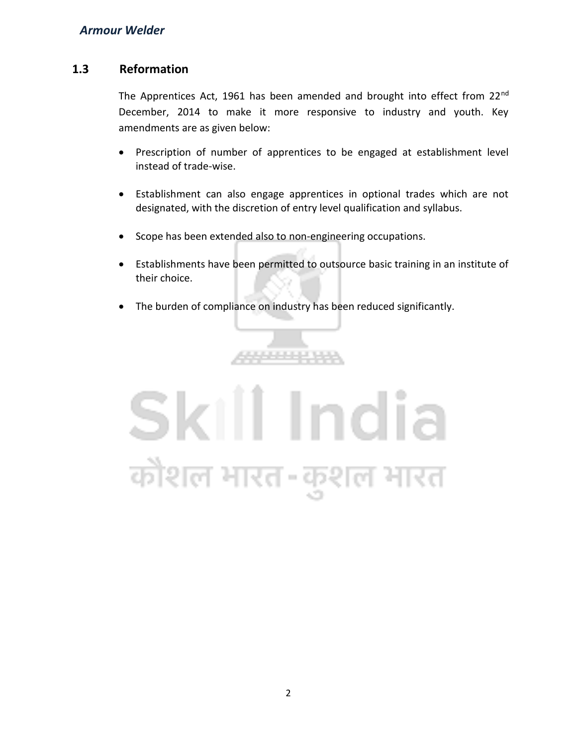# **1.3 Reformation**

The Apprentices Act, 1961 has been amended and brought into effect from 22<sup>nd</sup> December, 2014 to make it more responsive to industry and youth. Key amendments are as given below:

- Prescription of number of apprentices to be engaged at establishment level instead of trade-wise.
- Establishment can also engage apprentices in optional trades which are not designated, with the discretion of entry level qualification and syllabus.
- Scope has been extended also to non-engineering occupations.
- Establishments have been permitted to outsource basic training in an institute of their choice.
- The burden of compliance on industry has been reduced significantly.

,,,,,,,,,,,,

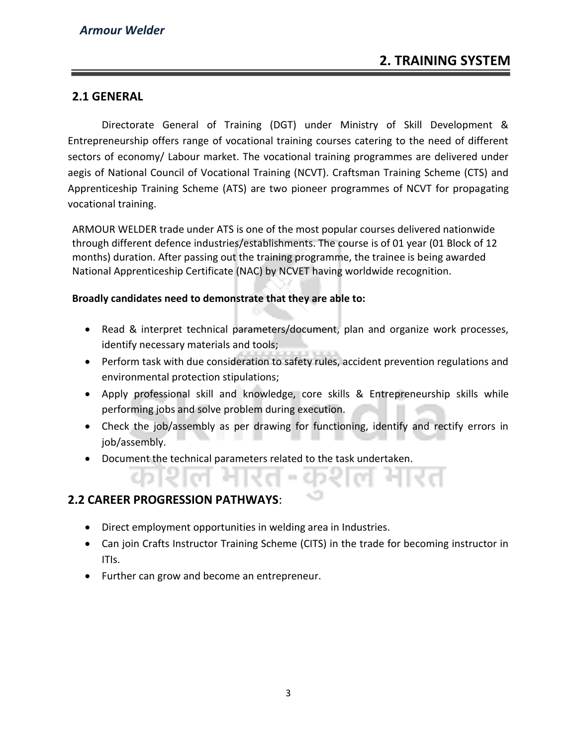# **2. TRAINING SYSTEM**

## **2.1 GENERAL**

Directorate General of Training (DGT) under Ministry of Skill Development & Entrepreneurship offers range of vocational training courses catering to the need of different sectors of economy/ Labour market. The vocational training programmes are delivered under aegis of National Council of Vocational Training (NCVT). Craftsman Training Scheme (CTS) and Apprenticeship Training Scheme (ATS) are two pioneer programmes of NCVT for propagating vocational training.

ARMOUR WELDER trade under ATS is one of the most popular courses delivered nationwide through different defence industries/establishments. The course is of 01 year (01 Block of 12 months) duration. After passing out the training programme, the trainee is being awarded National Apprenticeship Certificate (NAC) by NCVET having worldwide recognition.

#### **Broadly candidates need to demonstrate that they are able to:**

- Read & interpret technical parameters/document, plan and organize work processes, identify necessary materials and tools;
- Perform task with due consideration to safety rules, accident prevention regulations and environmental protection stipulations;
- Apply professional skill and knowledge, core skills & Entrepreneurship skills while performing jobs and solve problem during execution.
- Check the job/assembly as per drawing for functioning, identify and rectify errors in job/assembly.
- Document the technical parameters related to the task undertaken.

# **2.2 CAREER PROGRESSION PATHWAYS**:

- Direct employment opportunities in welding area in Industries.
- Can join Crafts Instructor Training Scheme (CITS) in the trade for becoming instructor in ITIs.
- Further can grow and become an entrepreneur.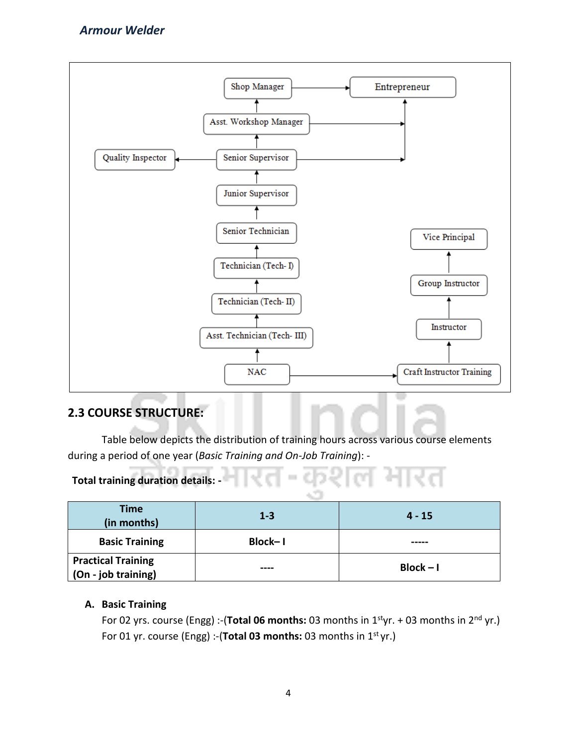

# **2.3 COURSE STRUCTURE:**

Table below depicts the distribution of training hours across various course elements during a period of one year (*Basic Training and On-Job Training*): -

**COL** 

еŌ.

L COL

# **Total training duration details:**

| <b>Time</b><br>(in months)                       | $1 - 3$ | $4 - 15$    |
|--------------------------------------------------|---------|-------------|
| <b>Basic Training</b>                            | Block-1 |             |
| <b>Practical Training</b><br>(On - job training) | ----    | $Block - I$ |

#### **A. Basic Training**

For 02 yrs. course (Engg) :-(**Total 06 months:** 03 months in 1<sup>st</sup>yr. + 03 months in 2<sup>nd</sup> yr.) For 01 yr. course (Engg) :-(Total 03 months: 03 months in 1<sup>st</sup> yr.)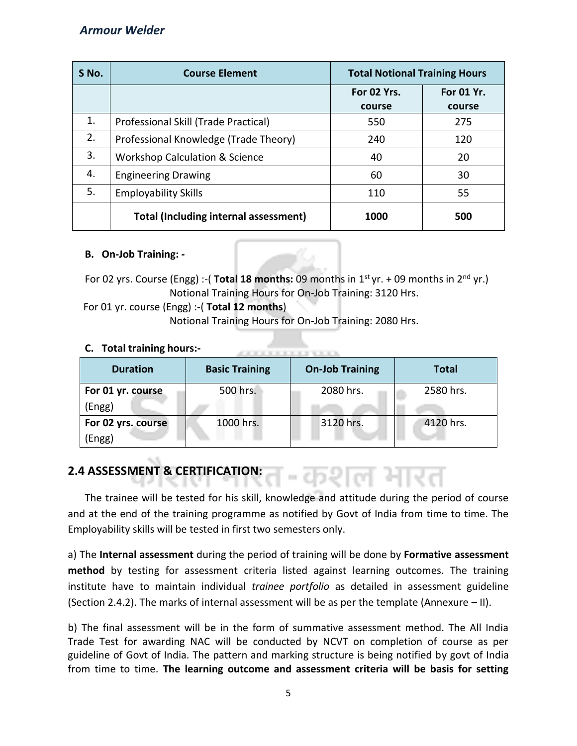| $S$ No. | <b>Course Element</b>                        | <b>Total Notional Training Hours</b> |                      |
|---------|----------------------------------------------|--------------------------------------|----------------------|
|         |                                              | For 02 Yrs.<br>course                | For 01 Yr.<br>course |
| 1.      | Professional Skill (Trade Practical)         | 550                                  | 275                  |
| 2.      | Professional Knowledge (Trade Theory)        | 240                                  | 120                  |
| 3.      | <b>Workshop Calculation &amp; Science</b>    | 40                                   | 20                   |
| 4.      | <b>Engineering Drawing</b>                   | 60                                   | 30                   |
| 5.      | <b>Employability Skills</b>                  | 110                                  | 55                   |
|         | <b>Total (Including internal assessment)</b> | 1000                                 | 500                  |

#### **B. On-Job Training: -**

For 02 yrs. Course (Engg) :-( **Total 18 months:** 09 months in  $1<sup>st</sup>$  yr. + 09 months in  $2<sup>nd</sup>$  yr.) Notional Training Hours for On-Job Training: 3120 Hrs.

 For 01 yr. course (Engg) :-( **Total 12 months**) Notional Training Hours for On-Job Training: 2080 Hrs.

### **C. Total training hours:-**

| <b>TOLAL LEATHING HOULS.</b> |                       |                        |              |  |
|------------------------------|-----------------------|------------------------|--------------|--|
| <b>Duration</b>              | <b>Basic Training</b> | <b>On-Job Training</b> | <b>Total</b> |  |
| For 01 yr. course            | 500 hrs.              | 2080 hrs.              | 2580 hrs.    |  |
| (Engg)                       |                       |                        |              |  |
| For 02 yrs. course           | 1000 hrs.             | 3120 hrs.              | 4120 hrs.    |  |
| Engg)                        |                       |                        |              |  |

# **2.4 ASSESSMENT & CERTIFICATION:**

The trainee will be tested for his skill, knowledge and attitude during the period of course and at the end of the training programme as notified by Govt of India from time to time. The Employability skills will be tested in first two semesters only.

= chν

a) The **Internal assessment** during the period of training will be done by **Formative assessment method** by testing for assessment criteria listed against learning outcomes. The training institute have to maintain individual *trainee portfolio* as detailed in assessment guideline (Section 2.4.2). The marks of internal assessment will be as per the template (Annexure – II).

b) The final assessment will be in the form of summative assessment method. The All India Trade Test for awarding NAC will be conducted by NCVT on completion of course as per guideline of Govt of India. The pattern and marking structure is being notified by govt of India from time to time. **The learning outcome and assessment criteria will be basis for setting**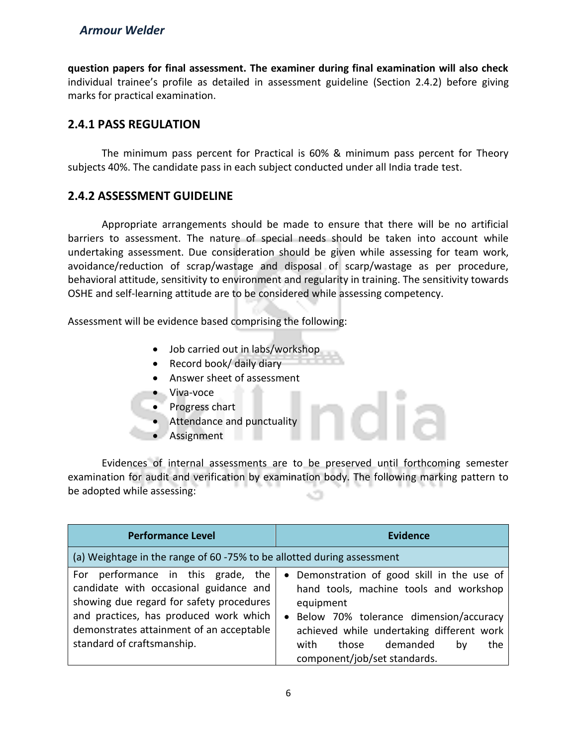**question papers for final assessment. The examiner during final examination will also check**  individual trainee's profile as detailed in assessment guideline (Section 2.4.2) before giving marks for practical examination.

# **2.4.1 PASS REGULATION**

The minimum pass percent for Practical is 60% & minimum pass percent for Theory subjects 40%. The candidate pass in each subject conducted under all India trade test.

# **2.4.2 ASSESSMENT GUIDELINE**

Appropriate arrangements should be made to ensure that there will be no artificial barriers to assessment. The nature of special needs should be taken into account while undertaking assessment. Due consideration should be given while assessing for team work, avoidance/reduction of scrap/wastage and disposal of scarp/wastage as per procedure, behavioral attitude, sensitivity to environment and regularity in training. The sensitivity towards OSHE and self-learning attitude are to be considered while assessing competency.

Assessment will be evidence based comprising the following:

- Job carried out in labs/workshop
- Record book/ daily diary
- Answer sheet of assessment
- Viva-voce
- Progress chart
- Attendance and punctuality
- Assignment

Evidences of internal assessments are to be preserved until forthcoming semester examination for audit and verification by examination body. The following marking pattern to be adopted while assessing:

| <b>Performance Level</b>                                                                                                                                                                                                                        | <b>Evidence</b>                                                                                                                                                                                                                                                                  |
|-------------------------------------------------------------------------------------------------------------------------------------------------------------------------------------------------------------------------------------------------|----------------------------------------------------------------------------------------------------------------------------------------------------------------------------------------------------------------------------------------------------------------------------------|
| (a) Weightage in the range of 60 -75% to be allotted during assessment                                                                                                                                                                          |                                                                                                                                                                                                                                                                                  |
| performance in this grade, the<br>For<br>candidate with occasional guidance and<br>showing due regard for safety procedures<br>and practices, has produced work which<br>demonstrates attainment of an acceptable<br>standard of craftsmanship. | • Demonstration of good skill in the use of<br>hand tools, machine tools and workshop<br>equipment<br>Below 70% tolerance dimension/accuracy<br>$\bullet$<br>achieved while undertaking different work<br>demanded<br>with<br>those<br>the<br>bv<br>component/job/set standards. |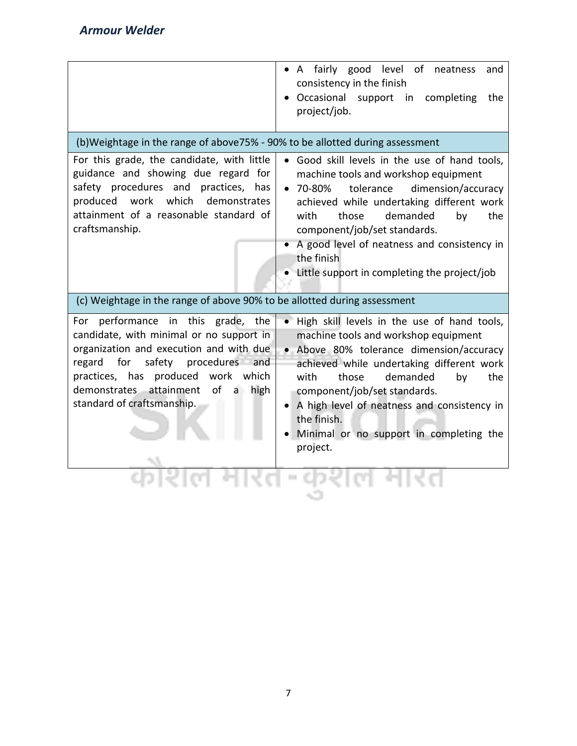|                                                                                                                                                                                                                                                                                                                    | A fairly good level of<br>neatness<br>and<br>consistency in the finish<br>Occasional support in completing<br>the<br>project/job.                                                                                                                                                                                                                                                          |
|--------------------------------------------------------------------------------------------------------------------------------------------------------------------------------------------------------------------------------------------------------------------------------------------------------------------|--------------------------------------------------------------------------------------------------------------------------------------------------------------------------------------------------------------------------------------------------------------------------------------------------------------------------------------------------------------------------------------------|
| (b)Weightage in the range of above75% - 90% to be allotted during assessment<br>For this grade, the candidate, with little<br>guidance and showing due regard for<br>safety procedures and practices, has<br>produced<br>work<br>which<br>demonstrates<br>attainment of a reasonable standard of<br>craftsmanship. | Good skill levels in the use of hand tools,<br>machine tools and workshop equipment<br>$•70-80%$<br>tolerance<br>dimension/accuracy<br>achieved while undertaking different work<br>demanded<br>with<br>those<br>by<br>the<br>component/job/set standards.<br>A good level of neatness and consistency in<br>the finish<br>• Little support in completing the project/job                  |
| (c) Weightage in the range of above 90% to be allotted during assessment                                                                                                                                                                                                                                           |                                                                                                                                                                                                                                                                                                                                                                                            |
| For performance in this grade, the<br>candidate, with minimal or no support in<br>organization and execution and with due<br>for<br>safety procedures and<br>regard<br>practices, has produced work which<br>demonstrates attainment<br>of a high<br>standard of craftsmanship.                                    | . High skill levels in the use of hand tools,<br>machine tools and workshop equipment<br>• Above 80% tolerance dimension/accuracy<br>achieved while undertaking different work<br>demanded<br>with<br>those<br>by<br>the<br>component/job/set standards.<br>A high level of neatness and consistency in<br>$\bullet$<br>the finish.<br>Minimal or no support in completing the<br>project. |
|                                                                                                                                                                                                                                                                                                                    |                                                                                                                                                                                                                                                                                                                                                                                            |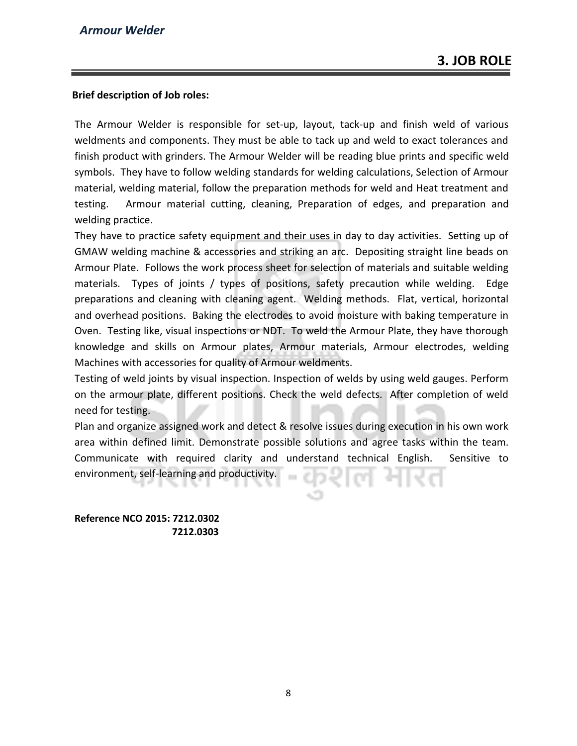#### **Brief description of Job roles:**

The Armour Welder is responsible for set-up, layout, tack-up and finish weld of various weldments and components. They must be able to tack up and weld to exact tolerances and finish product with grinders. The Armour Welder will be reading blue prints and specific weld symbols. They have to follow welding standards for welding calculations, Selection of Armour material, welding material, follow the preparation methods for weld and Heat treatment and testing. Armour material cutting, cleaning, Preparation of edges, and preparation and welding practice.

They have to practice safety equipment and their uses in day to day activities. Setting up of GMAW welding machine & accessories and striking an arc. Depositing straight line beads on Armour Plate. Follows the work process sheet for selection of materials and suitable welding materials. Types of joints / types of positions, safety precaution while welding. Edge preparations and cleaning with cleaning agent. Welding methods. Flat, vertical, horizontal and overhead positions. Baking the electrodes to avoid moisture with baking temperature in Oven. Testing like, visual inspections or NDT. To weld the Armour Plate, they have thorough knowledge and skills on Armour plates, Armour materials, Armour electrodes, welding Machines with accessories for quality of Armour weldments.

Testing of weld joints by visual inspection. Inspection of welds by using weld gauges. Perform on the armour plate, different positions. Check the weld defects. After completion of weld need for testing.

Plan and organize assigned work and detect & resolve issues during execution in his own work area within defined limit. Demonstrate possible solutions and agree tasks within the team. Communicate with required clarity and understand technical English. Sensitive to environment, self-learning and productivity.

**Reference NCO 2015: 7212.0302 7212.0303**

8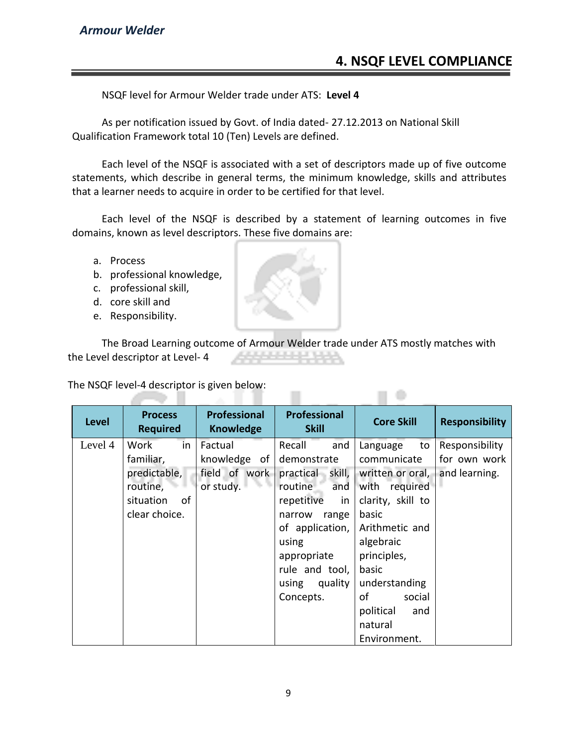# **4. NSQF LEVEL COMPLIANCE**

NSQF level for Armour Welder trade under ATS: **Level 4**

As per notification issued by Govt. of India dated- 27.12.2013 on National Skill Qualification Framework total 10 (Ten) Levels are defined.

Each level of the NSQF is associated with a set of descriptors made up of five outcome statements, which describe in general terms, the minimum knowledge, skills and attributes that a learner needs to acquire in order to be certified for that level.

Each level of the NSQF is described by a statement of learning outcomes in five domains, known as level descriptors. These five domains are:

- a. Process
- b. professional knowledge,
- c. professional skill,
- d. core skill and
- e. Responsibility.

The Broad Learning outcome of Armour Welder trade under ATS mostly matches with the Level descriptor at Level- 4

 $\Box$ 

The NSQF level-4 descriptor is given below: mar.

| <b>Level</b> | <b>Process</b><br><b>Required</b> | <b>Professional</b><br><b>Knowledge</b> | <b>Professional</b><br><b>Skill</b> | <b>Core Skill</b>             | <b>Responsibility</b>          |
|--------------|-----------------------------------|-----------------------------------------|-------------------------------------|-------------------------------|--------------------------------|
| Level 4      | Work<br>in<br>familiar,           | Factual<br>knowledge of $ $             | Recall<br>and<br>demonstrate        | Language<br>to<br>communicate | Responsibility<br>for own work |
|              | predictable,                      | field of work                           | practical skill,                    | written or oral,              | and learning.                  |
|              | routine,                          | or study.                               | routine<br>and                      | with required                 |                                |
|              | situation<br>of                   |                                         | repetitive<br>in                    | clarity, skill to             |                                |
|              | clear choice.                     |                                         | narrow<br>range                     | basic                         |                                |
|              |                                   |                                         | of application,                     | Arithmetic and                |                                |
|              |                                   |                                         | using                               | algebraic                     |                                |
|              |                                   |                                         | appropriate                         | principles,                   |                                |
|              |                                   |                                         | rule and tool,                      | basic                         |                                |
|              |                                   |                                         | quality<br>using                    | understanding                 |                                |
|              |                                   |                                         | Concepts.                           | of<br>social                  |                                |
|              |                                   |                                         |                                     | political<br>and              |                                |
|              |                                   |                                         |                                     | natural                       |                                |
|              |                                   |                                         |                                     | Environment.                  |                                |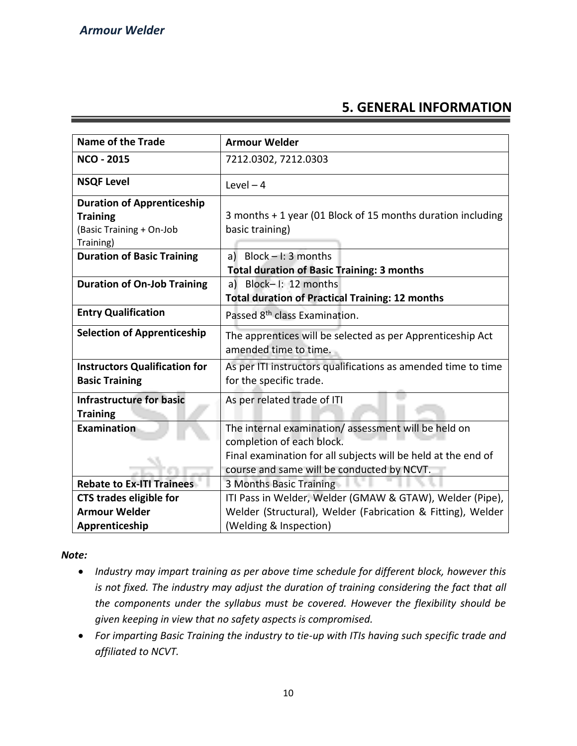# **5. GENERAL INFORMATION**

| <b>Name of the Trade</b>             | <b>Armour Welder</b>                                          |  |
|--------------------------------------|---------------------------------------------------------------|--|
| <b>NCO - 2015</b>                    | 7212.0302, 7212.0303                                          |  |
| <b>NSQF Level</b>                    | Level $-4$                                                    |  |
| <b>Duration of Apprenticeship</b>    |                                                               |  |
| <b>Training</b>                      | 3 months + 1 year (01 Block of 15 months duration including   |  |
| (Basic Training + On-Job             | basic training)                                               |  |
| Training)                            |                                                               |  |
| <b>Duration of Basic Training</b>    | a) Block $-1:3$ months                                        |  |
|                                      | <b>Total duration of Basic Training: 3 months</b>             |  |
| <b>Duration of On-Job Training</b>   | a) Block-I: 12 months                                         |  |
|                                      | <b>Total duration of Practical Training: 12 months</b>        |  |
| <b>Entry Qualification</b>           | Passed 8 <sup>th</sup> class Examination.                     |  |
| <b>Selection of Apprenticeship</b>   | The apprentices will be selected as per Apprenticeship Act    |  |
|                                      | amended time to time.                                         |  |
| <b>Instructors Qualification for</b> | As per ITI instructors qualifications as amended time to time |  |
| <b>Basic Training</b>                | for the specific trade.                                       |  |
| <b>Infrastructure for basic</b>      | As per related trade of ITI                                   |  |
| <b>Training</b>                      |                                                               |  |
| Examination                          | The internal examination/assessment will be held on           |  |
|                                      | completion of each block.                                     |  |
|                                      | Final examination for all subjects will be held at the end of |  |
|                                      | course and same will be conducted by NCVT.                    |  |
| <b>Rebate to Ex-ITI Trainees</b>     | 3 Months Basic Training                                       |  |
| <b>CTS trades eligible for</b>       | ITI Pass in Welder, Welder (GMAW & GTAW), Welder (Pipe),      |  |
| <b>Armour Welder</b>                 | Welder (Structural), Welder (Fabrication & Fitting), Welder   |  |
| Apprenticeship                       | (Welding & Inspection)                                        |  |

*Note:*

- *Industry may impart training as per above time schedule for different block, however this is not fixed. The industry may adjust the duration of training considering the fact that all the components under the syllabus must be covered. However the flexibility should be given keeping in view that no safety aspects is compromised.*
- *For imparting Basic Training the industry to tie-up with ITIs having such specific trade and affiliated to NCVT.*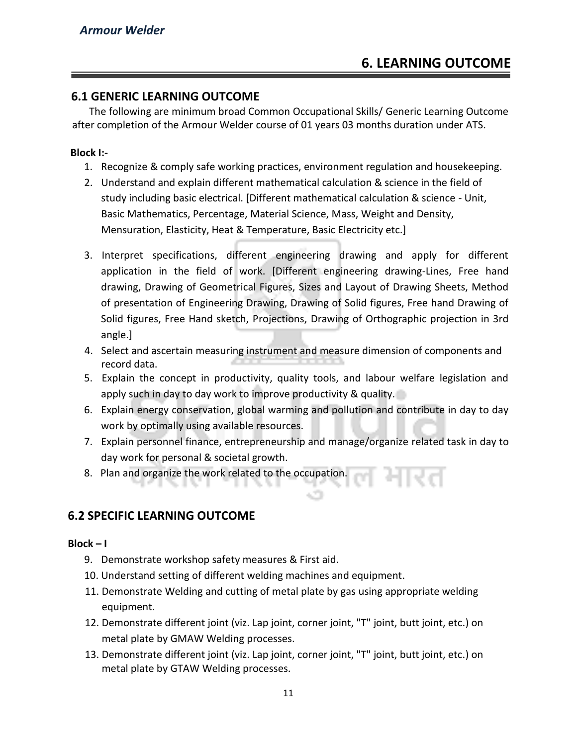# **6.1 GENERIC LEARNING OUTCOME**

The following are minimum broad Common Occupational Skills/ Generic Learning Outcome after completion of the Armour Welder course of 01 years 03 months duration under ATS.

#### **Block I:-**

- 1. Recognize & comply safe working practices, environment regulation and housekeeping.
- 2. Understand and explain different mathematical calculation & science in the field of study including basic electrical. [Different mathematical calculation & science - Unit, Basic Mathematics, Percentage, Material Science, Mass, Weight and Density, Mensuration, Elasticity, Heat & Temperature, Basic Electricity etc.]
- 3. Interpret specifications, different engineering drawing and apply for different application in the field of work. [Different engineering drawing-Lines, Free hand drawing, Drawing of Geometrical Figures, Sizes and Layout of Drawing Sheets, Method of presentation of Engineering Drawing, Drawing of Solid figures, Free hand Drawing of Solid figures, Free Hand sketch, Projections, Drawing of Orthographic projection in 3rd angle.]
- 4. Select and ascertain measuring instrument and measure dimension of components and record data.
- 5. Explain the concept in productivity, quality tools, and labour welfare legislation and apply such in day to day work to improve productivity & quality.
- 6. Explain energy conservation, global warming and pollution and contribute in day to day work by optimally using available resources.
- 7. Explain personnel finance, entrepreneurship and manage/organize related task in day to day work for personal & societal growth.
- 8. Plan and organize the work related to the occupation.

# **6.2 SPECIFIC LEARNING OUTCOME**

#### **Block – I**

- 9. Demonstrate workshop safety measures & First aid.
- 10. Understand setting of different welding machines and equipment.
- 11. Demonstrate Welding and cutting of metal plate by gas using appropriate welding equipment.
- 12. Demonstrate different joint (viz. Lap joint, corner joint, "T" joint, butt joint, etc.) on metal plate by GMAW Welding processes.
- 13. Demonstrate different joint (viz. Lap joint, corner joint, "T" joint, butt joint, etc.) on metal plate by GTAW Welding processes.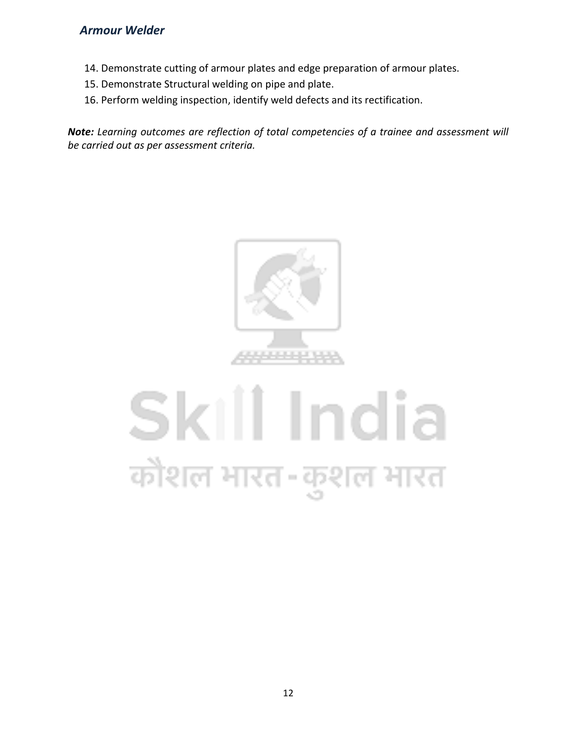- 14. Demonstrate cutting of armour plates and edge preparation of armour plates.
- 15. Demonstrate Structural welding on pipe and plate.
- 16. Perform welding inspection, identify weld defects and its rectification.

*Note: Learning outcomes are reflection of total competencies of a trainee and assessment will be carried out as per assessment criteria.*



# Skill India कौशल भारत-कुशल भारत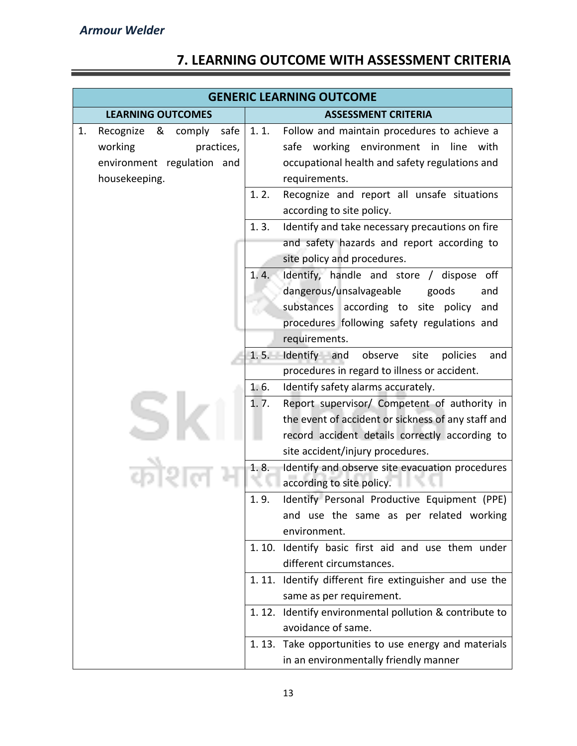# **7. LEARNING OUTCOME WITH ASSESSMENT CRITERIA**

|    | <b>GENERIC LEARNING OUTCOME</b>  |                            |                                                                              |
|----|----------------------------------|----------------------------|------------------------------------------------------------------------------|
|    | <b>LEARNING OUTCOMES</b>         | <b>ASSESSMENT CRITERIA</b> |                                                                              |
| 1. | safe<br>Recognize<br>&<br>comply | 1.1.                       | Follow and maintain procedures to achieve a                                  |
|    | working<br>practices,            |                            | safe working environment in<br>line<br>with                                  |
|    | environment regulation and       |                            | occupational health and safety regulations and                               |
|    | housekeeping.                    |                            | requirements.                                                                |
|    |                                  | 1.2.                       | Recognize and report all unsafe situations                                   |
|    |                                  |                            | according to site policy.                                                    |
|    |                                  | 1.3.                       | Identify and take necessary precautions on fire                              |
|    |                                  |                            | and safety hazards and report according to                                   |
|    |                                  |                            | site policy and procedures.                                                  |
|    |                                  | 1.4.                       | Identify, handle and store / dispose off                                     |
|    |                                  |                            | dangerous/unsalvageable<br>goods<br>and                                      |
|    |                                  |                            | substances according to site policy<br>and                                   |
|    |                                  |                            | procedures following safety regulations and                                  |
|    |                                  |                            | requirements.                                                                |
|    |                                  | 1.5.                       | Identify and<br>observe<br>site<br>policies<br>and                           |
|    |                                  |                            | procedures in regard to illness or accident.                                 |
|    |                                  | 1.6.                       | Identify safety alarms accurately.                                           |
|    |                                  | 1.7.                       | Report supervisor/ Competent of authority in                                 |
|    |                                  |                            | the event of accident or sickness of any staff and                           |
|    |                                  |                            | record accident details correctly according to                               |
|    |                                  | 1.8.                       | site accident/injury procedures.                                             |
|    |                                  |                            | Identify and observe site evacuation procedures<br>according to site policy. |
|    |                                  | 1.9.                       | Identify Personal Productive Equipment (PPE)                                 |
|    |                                  |                            | and use the same as per related working                                      |
|    |                                  |                            | environment.                                                                 |
|    |                                  |                            | 1.10. Identify basic first aid and use them under                            |
|    |                                  |                            | different circumstances.                                                     |
|    |                                  |                            | 1.11. Identify different fire extinguisher and use the                       |
|    |                                  |                            | same as per requirement.                                                     |
|    |                                  |                            | 1.12. Identify environmental pollution & contribute to                       |
|    |                                  |                            | avoidance of same.                                                           |
|    |                                  |                            | 1.13. Take opportunities to use energy and materials                         |
|    |                                  |                            | in an environmentally friendly manner                                        |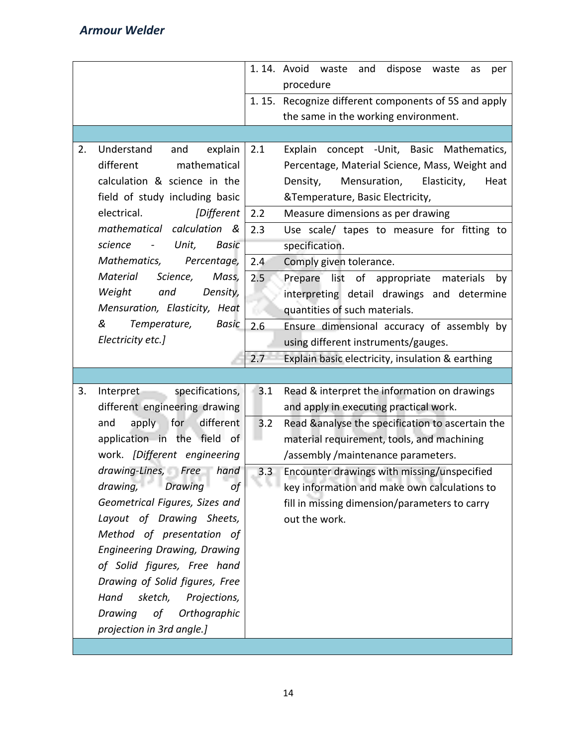|    |                                                       |     | 1.14. Avoid waste<br>dispose<br>and<br>waste<br>as<br>per |
|----|-------------------------------------------------------|-----|-----------------------------------------------------------|
|    |                                                       |     | procedure                                                 |
|    |                                                       |     | 1.15. Recognize different components of 5S and apply      |
|    |                                                       |     | the same in the working environment.                      |
|    |                                                       |     |                                                           |
| 2. | Understand<br>and<br>explain                          | 2.1 | Explain concept - Unit, Basic Mathematics,                |
|    | mathematical<br>different                             |     | Percentage, Material Science, Mass, Weight and            |
|    | calculation & science in the                          |     | Density,<br>Mensuration,<br>Elasticity,<br>Heat           |
|    | field of study including basic                        |     | &Temperature, Basic Electricity,                          |
|    | electrical.<br>[Different                             | 2.2 | Measure dimensions as per drawing                         |
|    | mathematical calculation &                            | 2.3 | Use scale/ tapes to measure for fitting to                |
|    | science<br>Unit,<br>Basic<br>$\overline{\phantom{a}}$ |     | specification.                                            |
|    | Mathematics,<br>Percentage,                           | 2.4 | Comply given tolerance.                                   |
|    | Material<br>Science,<br>Mass,                         | 2.5 | Prepare list of appropriate materials<br>by               |
|    | Weight<br>and<br>Density,                             |     | interpreting detail drawings and determine                |
|    | Mensuration, Elasticity, Heat                         |     | quantities of such materials.                             |
|    | &<br>Temperature,<br>Basic                            | 2.6 | Ensure dimensional accuracy of assembly by                |
|    | Electricity etc.]                                     |     | using different instruments/gauges.                       |
|    |                                                       | 2.7 | Explain basic electricity, insulation & earthing          |
|    |                                                       |     |                                                           |
| 3. | specifications,<br>Interpret-                         | 3.1 | Read & interpret the information on drawings              |
|    | different engineering drawing                         |     | and apply in executing practical work.                    |
|    | apply for<br>different<br>and                         | 3.2 | Read &analyse the specification to ascertain the          |
|    | application in the field of                           |     | material requirement, tools, and machining                |
|    | work. [Different engineering                          |     | /assembly /maintenance parameters.                        |
|    | drawing-Lines, Free hand                              | 3.3 | Encounter drawings with missing/unspecified               |
|    | drawing, Drawing<br>οf                                |     | key information and make own calculations to              |
|    | Geometrical Figures, Sizes and                        |     | fill in missing dimension/parameters to carry             |
|    | Layout of Drawing Sheets,                             |     | out the work.                                             |
|    | Method of presentation of                             |     |                                                           |
|    | <b>Engineering Drawing, Drawing</b>                   |     |                                                           |
|    | of Solid figures, Free hand                           |     |                                                           |
|    | Drawing of Solid figures, Free                        |     |                                                           |
|    | Hand<br>sketch,<br>Projections,                       |     |                                                           |
|    | Orthographic<br>Drawing<br>of                         |     |                                                           |
|    | projection in 3rd angle.]                             |     |                                                           |
|    |                                                       |     |                                                           |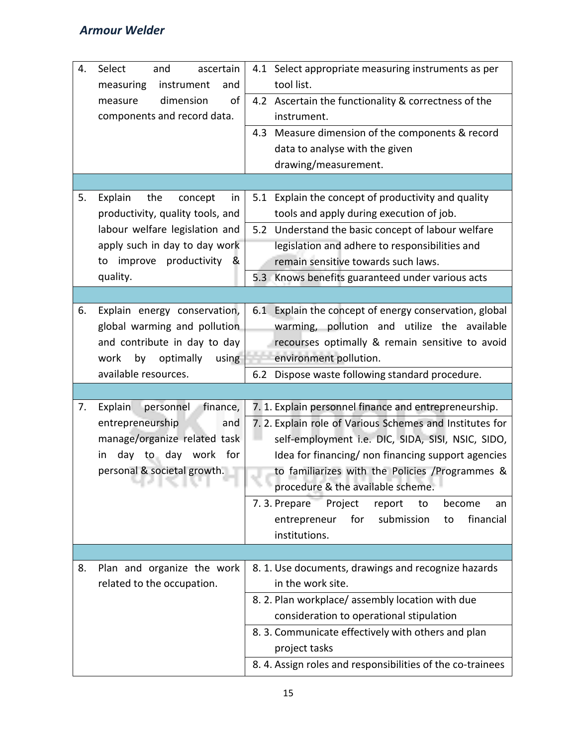| 4. | Select<br>ascertain<br>and<br>measuring<br>instrument<br>and<br>dimension<br>of<br>measure<br>components and record data.                                                           | 4.1 Select appropriate measuring instruments as per<br>tool list.<br>4.2 Ascertain the functionality & correctness of the<br>instrument.<br>Measure dimension of the components & record<br>4.3<br>data to analyse with the given                                                                                                                                                                                                                        |
|----|-------------------------------------------------------------------------------------------------------------------------------------------------------------------------------------|----------------------------------------------------------------------------------------------------------------------------------------------------------------------------------------------------------------------------------------------------------------------------------------------------------------------------------------------------------------------------------------------------------------------------------------------------------|
|    |                                                                                                                                                                                     | drawing/measurement.                                                                                                                                                                                                                                                                                                                                                                                                                                     |
| 5. | Explain<br>the<br>concept<br>in<br>productivity, quality tools, and<br>labour welfare legislation and<br>apply such in day to day work<br>improve productivity &<br>to<br>quality.  | 5.1 Explain the concept of productivity and quality<br>tools and apply during execution of job.<br>5.2 Understand the basic concept of labour welfare<br>legislation and adhere to responsibilities and<br>remain sensitive towards such laws.<br>5.3 Knows benefits guaranteed under various acts                                                                                                                                                       |
|    |                                                                                                                                                                                     |                                                                                                                                                                                                                                                                                                                                                                                                                                                          |
| 6. | Explain energy conservation,<br>global warming and pollution<br>and contribute in day to day<br>work<br>by optimally<br>using                                                       | 6.1 Explain the concept of energy conservation, global<br>warming, pollution and utilize the available<br>recourses optimally & remain sensitive to avoid<br>environment pollution.                                                                                                                                                                                                                                                                      |
|    | available resources.                                                                                                                                                                | Dispose waste following standard procedure.<br>6.2                                                                                                                                                                                                                                                                                                                                                                                                       |
| 7. | personnel<br>finance,<br><b>Explain</b><br>entrepreneurship<br>and<br>manage/organize related task<br>day to day work for<br>in.<br>personal & societal growth.<br>u.<br>76. IL 36. | 7. 1. Explain personnel finance and entrepreneurship.<br>7. 2. Explain role of Various Schemes and Institutes for<br>self-employment i.e. DIC, SIDA, SISI, NSIC, SIDO,<br>Idea for financing/ non financing support agencies<br>to familiarizes with the Policies /Programmes &<br>procedure & the available scheme.<br>7.3. Prepare<br>Project<br>report<br>to<br>become<br>an<br>for<br>submission<br>financial<br>entrepreneur<br>to<br>institutions. |
|    |                                                                                                                                                                                     |                                                                                                                                                                                                                                                                                                                                                                                                                                                          |
| 8. | Plan and organize the work<br>related to the occupation.                                                                                                                            | 8. 1. Use documents, drawings and recognize hazards<br>in the work site.<br>8. 2. Plan workplace/assembly location with due<br>consideration to operational stipulation<br>8. 3. Communicate effectively with others and plan<br>project tasks<br>8.4. Assign roles and responsibilities of the co-trainees                                                                                                                                              |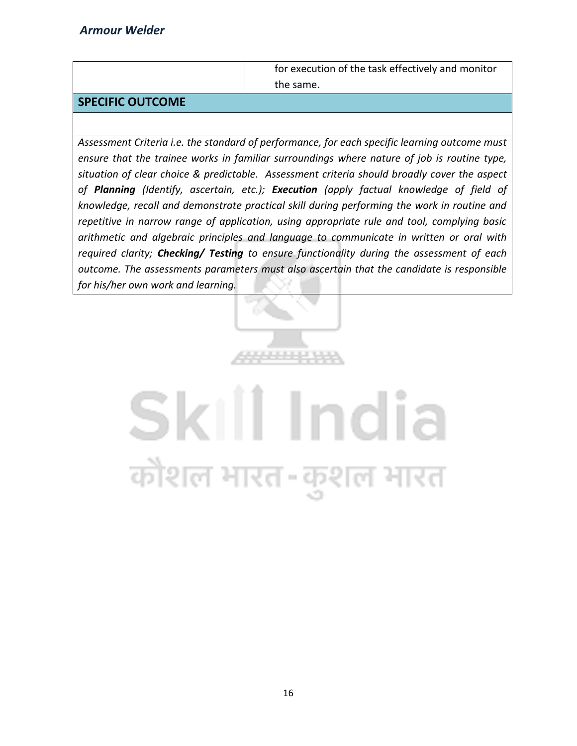for execution of the task effectively and monitor the same.

#### **SPECIFIC OUTCOME**

*Assessment Criteria i.e. the standard of performance, for each specific learning outcome must ensure that the trainee works in familiar surroundings where nature of job is routine type, situation of clear choice & predictable. Assessment criteria should broadly cover the aspect of Planning (Identify, ascertain, etc.); Execution (apply factual knowledge of field of knowledge, recall and demonstrate practical skill during performing the work in routine and repetitive in narrow range of application, using appropriate rule and tool, complying basic arithmetic and algebraic principles and language to communicate in written or oral with required clarity; Checking/ Testing to ensure functionality during the assessment of each outcome. The assessments parameters must also ascertain that the candidate is responsible for his/her own work and learning.*

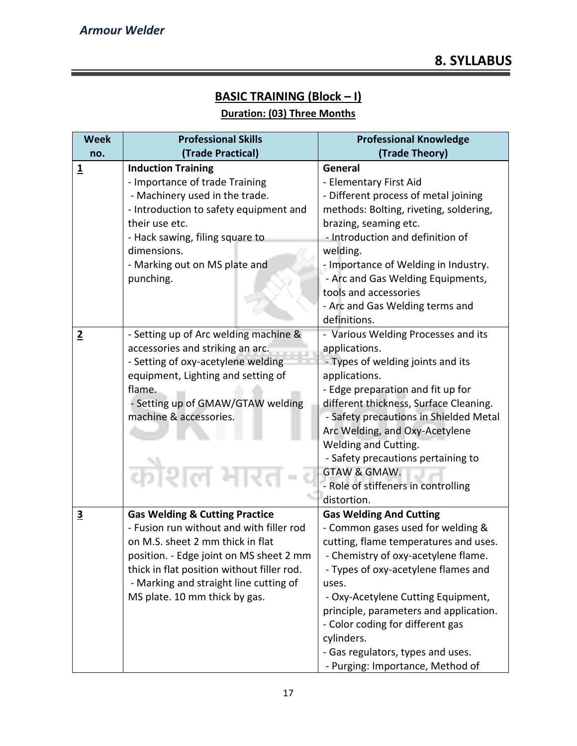# **BASIC TRAINING (Block – I)**

# **Duration: (03) Three Months**

| <b>Week</b>             | <b>Professional Skills</b>                 | <b>Professional Knowledge</b>          |
|-------------------------|--------------------------------------------|----------------------------------------|
| no.                     | (Trade Practical)                          | (Trade Theory)                         |
| $\overline{\mathbf{1}}$ | <b>Induction Training</b>                  | General                                |
|                         | - Importance of trade Training             | - Elementary First Aid                 |
|                         | - Machinery used in the trade.             | - Different process of metal joining   |
|                         | - Introduction to safety equipment and     | methods: Bolting, riveting, soldering, |
|                         | their use etc.                             | brazing, seaming etc.                  |
|                         | - Hack sawing, filing square to            | - Introduction and definition of       |
|                         | dimensions.                                | welding.                               |
|                         | - Marking out on MS plate and              | - Importance of Welding in Industry.   |
|                         | punching.                                  | - Arc and Gas Welding Equipments,      |
|                         |                                            | tools and accessories                  |
|                         |                                            | - Arc and Gas Welding terms and        |
|                         |                                            | definitions.                           |
| $\overline{2}$          | - Setting up of Arc welding machine &      | - Various Welding Processes and its    |
|                         | accessories and striking an arc.           | applications.                          |
|                         | - Setting of oxy-acetylene welding         | - Types of welding joints and its      |
|                         | equipment, Lighting and setting of         | applications.                          |
|                         | flame.                                     | - Edge preparation and fit up for      |
|                         | - Setting up of GMAW/GTAW welding          | different thickness, Surface Cleaning. |
|                         | machine & accessories.                     | - Safety precautions in Shielded Metal |
|                         |                                            | Arc Welding, and Oxy-Acetylene         |
|                         |                                            | <b>Welding and Cutting.</b>            |
|                         |                                            | - Safety precautions pertaining to     |
|                         | काशल                                       | GTAW & GMAW.                           |
|                         |                                            | - Role of stiffeners in controlling    |
|                         |                                            | distortion.                            |
| $\overline{\mathbf{3}}$ | <b>Gas Welding &amp; Cutting Practice</b>  | <b>Gas Welding And Cutting</b>         |
|                         | - Fusion run without and with filler rod   | - Common gases used for welding &      |
|                         | on M.S. sheet 2 mm thick in flat           | cutting, flame temperatures and uses.  |
|                         | position. - Edge joint on MS sheet 2 mm    | - Chemistry of oxy-acetylene flame.    |
|                         | thick in flat position without filler rod. | - Types of oxy-acetylene flames and    |
|                         | - Marking and straight line cutting of     | uses.                                  |
|                         | MS plate. 10 mm thick by gas.              | - Oxy-Acetylene Cutting Equipment,     |
|                         |                                            | principle, parameters and application. |
|                         |                                            | - Color coding for different gas       |
|                         |                                            | cylinders.                             |
|                         |                                            | - Gas regulators, types and uses.      |
|                         |                                            | - Purging: Importance, Method of       |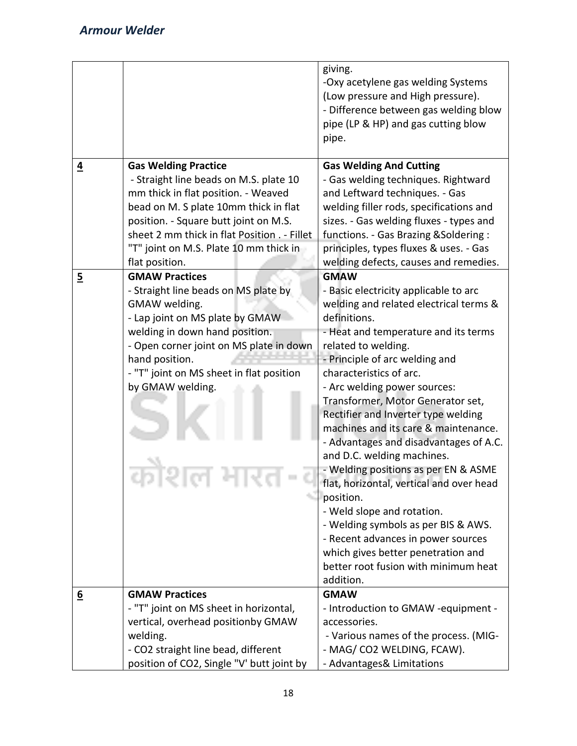|                |                                                                                                                                                                                                                                                                                  | giving.<br>-Oxy acetylene gas welding Systems<br>(Low pressure and High pressure).<br>- Difference between gas welding blow<br>pipe (LP & HP) and gas cutting blow<br>pipe.                                                                                                                                                                                                                                                                                                                                                                                                                                                                                                                                                                                                   |
|----------------|----------------------------------------------------------------------------------------------------------------------------------------------------------------------------------------------------------------------------------------------------------------------------------|-------------------------------------------------------------------------------------------------------------------------------------------------------------------------------------------------------------------------------------------------------------------------------------------------------------------------------------------------------------------------------------------------------------------------------------------------------------------------------------------------------------------------------------------------------------------------------------------------------------------------------------------------------------------------------------------------------------------------------------------------------------------------------|
| $\overline{4}$ | <b>Gas Welding Practice</b><br>- Straight line beads on M.S. plate 10<br>mm thick in flat position. - Weaved<br>bead on M. S plate 10mm thick in flat<br>position. - Square butt joint on M.S.                                                                                   | <b>Gas Welding And Cutting</b><br>- Gas welding techniques. Rightward<br>and Leftward techniques. - Gas<br>welding filler rods, specifications and<br>sizes. - Gas welding fluxes - types and                                                                                                                                                                                                                                                                                                                                                                                                                                                                                                                                                                                 |
|                | sheet 2 mm thick in flat Position . - Fillet<br>"T" joint on M.S. Plate 10 mm thick in<br>flat position.                                                                                                                                                                         | functions. - Gas Brazing & Soldering :<br>principles, types fluxes & uses. - Gas<br>welding defects, causes and remedies.                                                                                                                                                                                                                                                                                                                                                                                                                                                                                                                                                                                                                                                     |
| $\overline{5}$ | <b>GMAW Practices</b><br>- Straight line beads on MS plate by<br>GMAW welding.<br>- Lap joint on MS plate by GMAW<br>welding in down hand position.<br>- Open corner joint on MS plate in down<br>hand position.<br>- "T" joint on MS sheet in flat position<br>by GMAW welding. | <b>GMAW</b><br>- Basic electricity applicable to arc<br>welding and related electrical terms &<br>definitions.<br>- Heat and temperature and its terms<br>related to welding.<br>- Principle of arc welding and<br>characteristics of arc.<br>- Arc welding power sources:<br>Transformer, Motor Generator set,<br>Rectifier and Inverter type welding<br>machines and its care & maintenance.<br>- Advantages and disadvantages of A.C.<br>and D.C. welding machines.<br>- Welding positions as per EN & ASME<br>flat, horizontal, vertical and over head<br>position.<br>- Weld slope and rotation.<br>- Welding symbols as per BIS & AWS.<br>- Recent advances in power sources<br>which gives better penetration and<br>better root fusion with minimum heat<br>addition. |
| <u>6</u>       | <b>GMAW Practices</b><br>- "T" joint on MS sheet in horizontal,<br>vertical, overhead positionby GMAW<br>welding.<br>- CO2 straight line bead, different                                                                                                                         | <b>GMAW</b><br>- Introduction to GMAW -equipment -<br>accessories.<br>- Various names of the process. (MIG-<br>- MAG/ CO2 WELDING, FCAW).                                                                                                                                                                                                                                                                                                                                                                                                                                                                                                                                                                                                                                     |
|                | position of CO2, Single "V' butt joint by                                                                                                                                                                                                                                        | - Advantages& Limitations                                                                                                                                                                                                                                                                                                                                                                                                                                                                                                                                                                                                                                                                                                                                                     |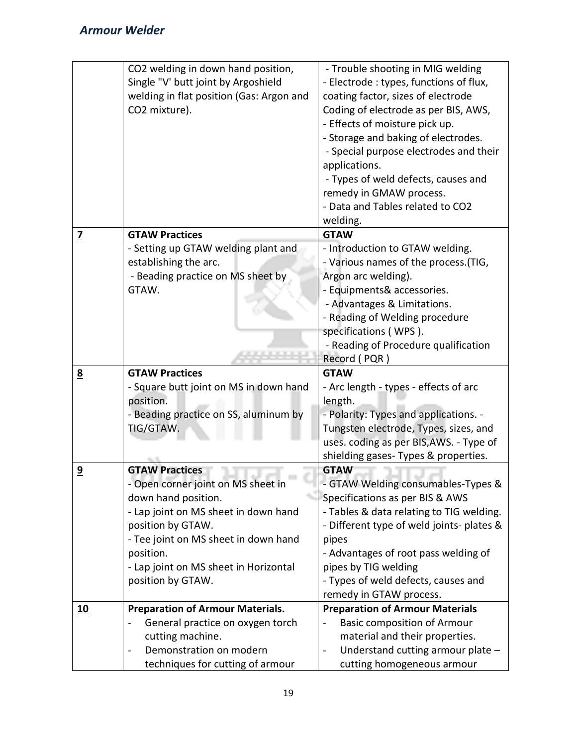|                         | CO2 welding in down hand position,<br>Single "V' butt joint by Argoshield<br>welding in flat position (Gas: Argon and<br>CO2 mixture). | - Trouble shooting in MIG welding<br>- Electrode : types, functions of flux,<br>coating factor, sizes of electrode<br>Coding of electrode as per BIS, AWS,<br>- Effects of moisture pick up.<br>- Storage and baking of electrodes.<br>- Special purpose electrodes and their<br>applications.<br>- Types of weld defects, causes and<br>remedy in GMAW process.<br>- Data and Tables related to CO2 |
|-------------------------|----------------------------------------------------------------------------------------------------------------------------------------|------------------------------------------------------------------------------------------------------------------------------------------------------------------------------------------------------------------------------------------------------------------------------------------------------------------------------------------------------------------------------------------------------|
|                         |                                                                                                                                        | welding.                                                                                                                                                                                                                                                                                                                                                                                             |
| $\overline{\mathbf{Z}}$ | <b>GTAW Practices</b>                                                                                                                  | <b>GTAW</b>                                                                                                                                                                                                                                                                                                                                                                                          |
|                         | - Setting up GTAW welding plant and<br>establishing the arc.                                                                           | - Introduction to GTAW welding.<br>- Various names of the process. (TIG,                                                                                                                                                                                                                                                                                                                             |
|                         | - Beading practice on MS sheet by                                                                                                      | Argon arc welding).                                                                                                                                                                                                                                                                                                                                                                                  |
|                         | GTAW.                                                                                                                                  | - Equipments& accessories.                                                                                                                                                                                                                                                                                                                                                                           |
|                         |                                                                                                                                        | - Advantages & Limitations.                                                                                                                                                                                                                                                                                                                                                                          |
|                         |                                                                                                                                        | - Reading of Welding procedure                                                                                                                                                                                                                                                                                                                                                                       |
|                         |                                                                                                                                        | specifications (WPS).                                                                                                                                                                                                                                                                                                                                                                                |
|                         |                                                                                                                                        | - Reading of Procedure qualification                                                                                                                                                                                                                                                                                                                                                                 |
|                         |                                                                                                                                        | Record (PQR)                                                                                                                                                                                                                                                                                                                                                                                         |
|                         |                                                                                                                                        |                                                                                                                                                                                                                                                                                                                                                                                                      |
| 8                       | <b>GTAW Practices</b>                                                                                                                  | <b>GTAW</b>                                                                                                                                                                                                                                                                                                                                                                                          |
|                         | - Square butt joint on MS in down hand                                                                                                 | - Arc length - types - effects of arc                                                                                                                                                                                                                                                                                                                                                                |
|                         | position.                                                                                                                              | length.                                                                                                                                                                                                                                                                                                                                                                                              |
|                         | - Beading practice on SS, aluminum by                                                                                                  | - Polarity: Types and applications. -                                                                                                                                                                                                                                                                                                                                                                |
|                         | TIG/GTAW.                                                                                                                              | Tungsten electrode, Types, sizes, and                                                                                                                                                                                                                                                                                                                                                                |
|                         |                                                                                                                                        | uses. coding as per BIS, AWS. - Type of                                                                                                                                                                                                                                                                                                                                                              |
|                         |                                                                                                                                        | shielding gases- Types & properties.                                                                                                                                                                                                                                                                                                                                                                 |
| $\overline{9}$          | <b>GTAW Practices</b>                                                                                                                  | <b>GTAW</b>                                                                                                                                                                                                                                                                                                                                                                                          |
|                         | - Open corner joint on MS sheet in                                                                                                     | - GTAW Welding consumables-Types &                                                                                                                                                                                                                                                                                                                                                                   |
|                         | down hand position.                                                                                                                    | Specifications as per BIS & AWS                                                                                                                                                                                                                                                                                                                                                                      |
|                         | - Lap joint on MS sheet in down hand                                                                                                   | - Tables & data relating to TIG welding.                                                                                                                                                                                                                                                                                                                                                             |
|                         | position by GTAW.                                                                                                                      | - Different type of weld joints- plates &                                                                                                                                                                                                                                                                                                                                                            |
|                         | - Tee joint on MS sheet in down hand                                                                                                   | pipes                                                                                                                                                                                                                                                                                                                                                                                                |
|                         | position.                                                                                                                              | - Advantages of root pass welding of                                                                                                                                                                                                                                                                                                                                                                 |
|                         | - Lap joint on MS sheet in Horizontal                                                                                                  | pipes by TIG welding                                                                                                                                                                                                                                                                                                                                                                                 |
|                         | position by GTAW.                                                                                                                      | - Types of weld defects, causes and                                                                                                                                                                                                                                                                                                                                                                  |
|                         |                                                                                                                                        | remedy in GTAW process.                                                                                                                                                                                                                                                                                                                                                                              |
| <u>10</u>               | <b>Preparation of Armour Materials.</b>                                                                                                | <b>Preparation of Armour Materials</b><br><b>Basic composition of Armour</b>                                                                                                                                                                                                                                                                                                                         |
|                         | General practice on oxygen torch<br>cutting machine.                                                                                   | material and their properties.                                                                                                                                                                                                                                                                                                                                                                       |
|                         | Demonstration on modern                                                                                                                | Understand cutting armour plate -                                                                                                                                                                                                                                                                                                                                                                    |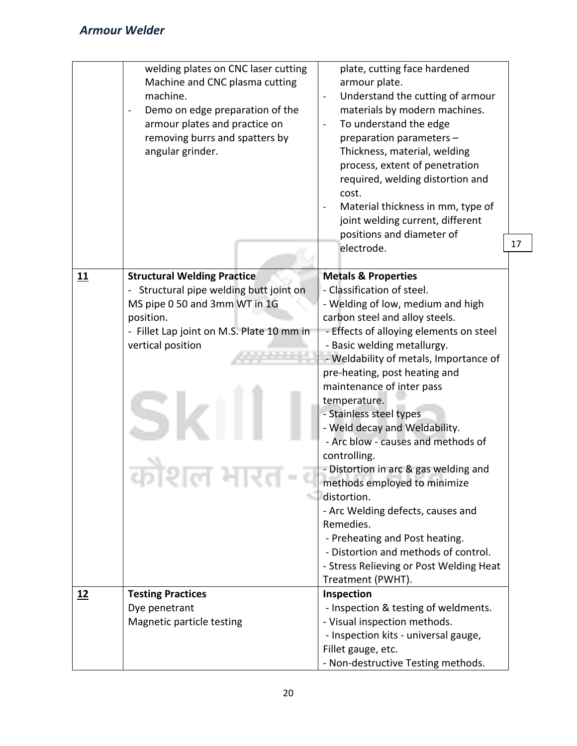|           | welding plates on CNC laser cutting<br>Machine and CNC plasma cutting<br>machine.<br>Demo on edge preparation of the<br>$\overline{\phantom{a}}$<br>armour plates and practice on<br>removing burrs and spatters by<br>angular grinder. | plate, cutting face hardened<br>armour plate.<br>Understand the cutting of armour<br>materials by modern machines.<br>To understand the edge<br>preparation parameters -<br>Thickness, material, welding<br>process, extent of penetration<br>required, welding distortion and<br>cost.<br>Material thickness in mm, type of<br>joint welding current, different<br>positions and diameter of<br>17<br>electrode.                                                                                                                                                                                                                                                                                                                           |  |
|-----------|-----------------------------------------------------------------------------------------------------------------------------------------------------------------------------------------------------------------------------------------|---------------------------------------------------------------------------------------------------------------------------------------------------------------------------------------------------------------------------------------------------------------------------------------------------------------------------------------------------------------------------------------------------------------------------------------------------------------------------------------------------------------------------------------------------------------------------------------------------------------------------------------------------------------------------------------------------------------------------------------------|--|
| 11        | <b>Structural Welding Practice</b><br>- Structural pipe welding butt joint on<br>MS pipe 0 50 and 3mm WT in 1G<br>position.<br>- Fillet Lap joint on M.S. Plate 10 mm in<br>vertical position                                           | <b>Metals &amp; Properties</b><br>- Classification of steel.<br>- Welding of low, medium and high<br>carbon steel and alloy steels.<br>- Effects of alloying elements on steel<br>- Basic welding metallurgy.<br>- Weldability of metals, Importance of<br>pre-heating, post heating and<br>maintenance of inter pass<br>temperature.<br>- Stainless steel types<br>- Weld decay and Weldability.<br>- Arc blow - causes and methods of<br>controlling.<br>- Distortion in arc & gas welding and<br>methods employed to minimize<br>distortion.<br>- Arc Welding defects, causes and<br>Remedies.<br>- Preheating and Post heating.<br>- Distortion and methods of control.<br>- Stress Relieving or Post Welding Heat<br>Treatment (PWHT). |  |
| <u>12</u> | <b>Testing Practices</b><br>Dye penetrant<br>Magnetic particle testing                                                                                                                                                                  | Inspection<br>- Inspection & testing of weldments.<br>- Visual inspection methods.<br>- Inspection kits - universal gauge,<br>Fillet gauge, etc.<br>- Non-destructive Testing methods.                                                                                                                                                                                                                                                                                                                                                                                                                                                                                                                                                      |  |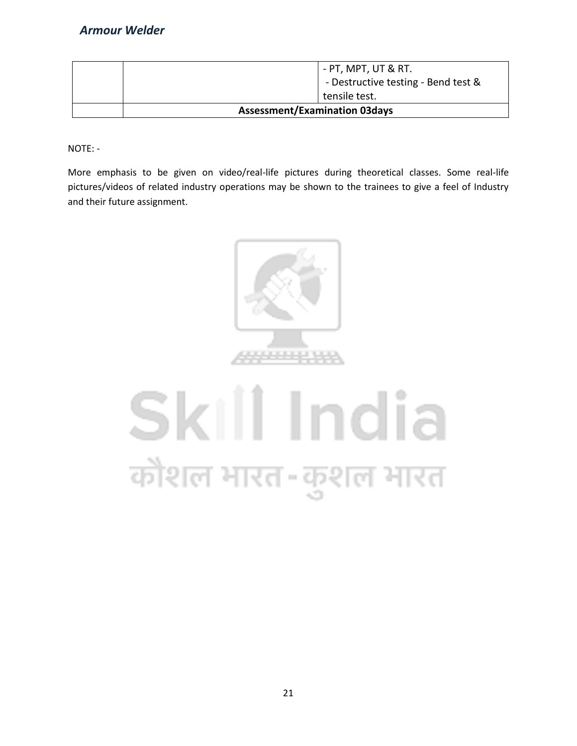| - PT, MPT, UT & RT.<br>- Destructive testing - Bend test & |  |
|------------------------------------------------------------|--|
| tensile test.                                              |  |
| <b>Assessment/Examination 03days</b>                       |  |

NOTE: -

More emphasis to be given on video/real-life pictures during theoretical classes. Some real-life pictures/videos of related industry operations may be shown to the trainees to give a feel of Industry and their future assignment.



# Skill India कोशल भारत-कुशल भारत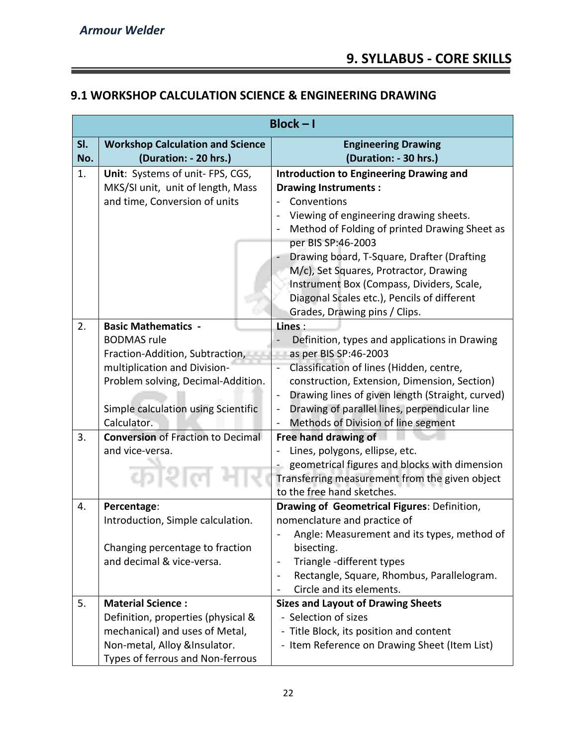=

# **9.1 WORKSHOP CALCULATION SCIENCE & ENGINEERING DRAWING**

|     | $Block - I$                              |                                                                     |  |
|-----|------------------------------------------|---------------------------------------------------------------------|--|
| SI. | <b>Workshop Calculation and Science</b>  | <b>Engineering Drawing</b>                                          |  |
| No. | (Duration: - 20 hrs.)                    | (Duration: - 30 hrs.)                                               |  |
| 1.  | Unit: Systems of unit- FPS, CGS,         | <b>Introduction to Engineering Drawing and</b>                      |  |
|     | MKS/SI unit, unit of length, Mass        | <b>Drawing Instruments:</b>                                         |  |
|     | and time, Conversion of units            | Conventions                                                         |  |
|     |                                          | Viewing of engineering drawing sheets.                              |  |
|     |                                          | Method of Folding of printed Drawing Sheet as<br>per BIS SP:46-2003 |  |
|     |                                          | Drawing board, T-Square, Drafter (Drafting                          |  |
|     |                                          | M/c), Set Squares, Protractor, Drawing                              |  |
|     |                                          | Instrument Box (Compass, Dividers, Scale,                           |  |
|     |                                          | Diagonal Scales etc.), Pencils of different                         |  |
|     |                                          | Grades, Drawing pins / Clips.                                       |  |
| 2.  | <b>Basic Mathematics -</b>               | Lines:                                                              |  |
|     | <b>BODMAS</b> rule                       | Definition, types and applications in Drawing                       |  |
|     | Fraction-Addition, Subtraction,          | as per BIS SP:46-2003                                               |  |
|     | multiplication and Division-             | Classification of lines (Hidden, centre,                            |  |
|     | Problem solving, Decimal-Addition.       | construction, Extension, Dimension, Section)                        |  |
|     |                                          | Drawing lines of given length (Straight, curved)                    |  |
|     | Simple calculation using Scientific      | Drawing of parallel lines, perpendicular line                       |  |
|     | Calculator.                              | Methods of Division of line segment                                 |  |
| 3.  | <b>Conversion of Fraction to Decimal</b> | Free hand drawing of                                                |  |
|     | and vice-versa.                          | Lines, polygons, ellipse, etc.                                      |  |
|     |                                          | geometrical figures and blocks with dimension                       |  |
|     | काश                                      | Transferring measurement from the given object                      |  |
|     |                                          | to the free hand sketches.                                          |  |
| 4.  | Percentage:                              | Drawing of Geometrical Figures: Definition,                         |  |
|     | Introduction, Simple calculation.        | nomenclature and practice of                                        |  |
|     | Changing percentage to fraction          | Angle: Measurement and its types, method of<br>bisecting.           |  |
|     | and decimal & vice-versa.                | Triangle -different types                                           |  |
|     |                                          | Rectangle, Square, Rhombus, Parallelogram.                          |  |
|     |                                          | Circle and its elements.                                            |  |
| 5.  | <b>Material Science:</b>                 | <b>Sizes and Layout of Drawing Sheets</b>                           |  |
|     | Definition, properties (physical &       | - Selection of sizes                                                |  |
|     | mechanical) and uses of Metal,           | - Title Block, its position and content                             |  |
|     | Non-metal, Alloy &Insulator.             | - Item Reference on Drawing Sheet (Item List)                       |  |
|     | Types of ferrous and Non-ferrous         |                                                                     |  |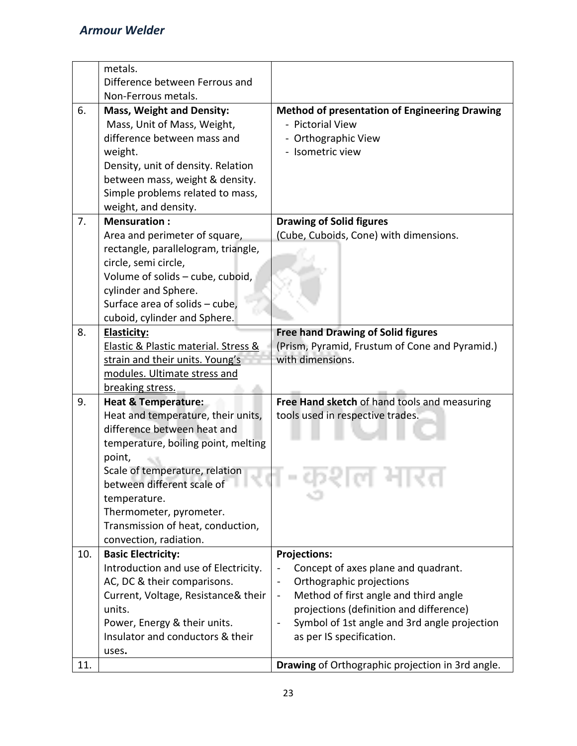|     | metals.                                                     |                                                         |
|-----|-------------------------------------------------------------|---------------------------------------------------------|
|     | Difference between Ferrous and                              |                                                         |
|     | Non-Ferrous metals.                                         |                                                         |
| 6.  | <b>Mass, Weight and Density:</b>                            | <b>Method of presentation of Engineering Drawing</b>    |
|     | Mass, Unit of Mass, Weight,                                 | - Pictorial View                                        |
|     | difference between mass and                                 | - Orthographic View                                     |
|     | weight.                                                     | - Isometric view                                        |
|     | Density, unit of density. Relation                          |                                                         |
|     | between mass, weight & density.                             |                                                         |
|     | Simple problems related to mass,                            |                                                         |
|     | weight, and density.                                        |                                                         |
| 7.  | <b>Mensuration:</b>                                         | <b>Drawing of Solid figures</b>                         |
|     | Area and perimeter of square,                               | (Cube, Cuboids, Cone) with dimensions.                  |
|     | rectangle, parallelogram, triangle,                         |                                                         |
|     | circle, semi circle,                                        |                                                         |
|     | Volume of solids - cube, cuboid,                            |                                                         |
|     | cylinder and Sphere.                                        |                                                         |
|     | Surface area of solids - cube,                              |                                                         |
|     | cuboid, cylinder and Sphere.                                |                                                         |
| 8.  | <b>Elasticity:</b>                                          | <b>Free hand Drawing of Solid figures</b>               |
|     | Elastic & Plastic material. Stress &                        | (Prism, Pyramid, Frustum of Cone and Pyramid.)          |
|     | strain and their units. Young's                             | with dimensions.                                        |
|     | modules. Ultimate stress and                                |                                                         |
|     | breaking stress.                                            |                                                         |
| 9.  | <b>Heat &amp; Temperature:</b>                              | Free Hand sketch of hand tools and measuring            |
|     | Heat and temperature, their units,                          | tools used in respective trades.                        |
|     | difference between heat and                                 |                                                         |
|     | temperature, boiling point, melting                         |                                                         |
|     | point,                                                      |                                                         |
|     | Scale of temperature, relation                              |                                                         |
|     | between different scale of                                  |                                                         |
|     | temperature.                                                |                                                         |
|     | Thermometer, pyrometer.                                     |                                                         |
|     | Transmission of heat, conduction,<br>convection, radiation. |                                                         |
| 10. | <b>Basic Electricity:</b>                                   | <b>Projections:</b>                                     |
|     | Introduction and use of Electricity.                        | Concept of axes plane and quadrant.                     |
|     | AC, DC & their comparisons.                                 | Orthographic projections                                |
|     | Current, Voltage, Resistance& their                         | Method of first angle and third angle<br>$\blacksquare$ |
|     | units.                                                      | projections (definition and difference)                 |
|     | Power, Energy & their units.                                | Symbol of 1st angle and 3rd angle projection            |
|     | Insulator and conductors & their                            | as per IS specification.                                |
|     | uses.                                                       |                                                         |
| 11. |                                                             | Drawing of Orthographic projection in 3rd angle.        |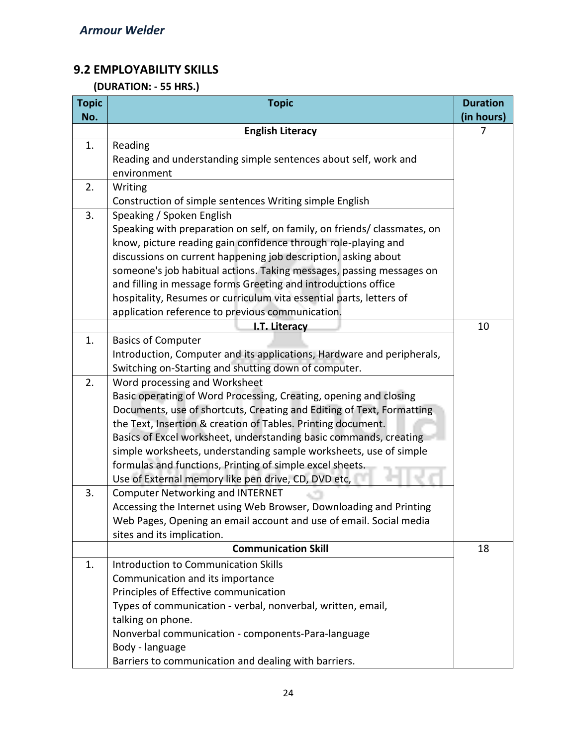# **9.2 EMPLOYABILITY SKILLS**

# **(DURATION: - 55 HRS.)**

| <b>Topic</b> | <b>Topic</b>                                                             | <b>Duration</b> |
|--------------|--------------------------------------------------------------------------|-----------------|
| No.          |                                                                          | (in hours)      |
|              | <b>English Literacy</b>                                                  | 7               |
| 1.           | Reading                                                                  |                 |
|              | Reading and understanding simple sentences about self, work and          |                 |
|              | environment                                                              |                 |
| 2.           | Writing                                                                  |                 |
|              | Construction of simple sentences Writing simple English                  |                 |
| 3.           | Speaking / Spoken English                                                |                 |
|              | Speaking with preparation on self, on family, on friends/ classmates, on |                 |
|              | know, picture reading gain confidence through role-playing and           |                 |
|              | discussions on current happening job description, asking about           |                 |
|              | someone's job habitual actions. Taking messages, passing messages on     |                 |
|              | and filling in message forms Greeting and introductions office           |                 |
|              | hospitality, Resumes or curriculum vita essential parts, letters of      |                 |
|              | application reference to previous communication.                         |                 |
|              | I.T. Literacy                                                            | 10              |
| 1.           | <b>Basics of Computer</b>                                                |                 |
|              | Introduction, Computer and its applications, Hardware and peripherals,   |                 |
|              | Switching on-Starting and shutting down of computer.                     |                 |
| 2.           | Word processing and Worksheet                                            |                 |
|              | Basic operating of Word Processing, Creating, opening and closing        |                 |
|              | Documents, use of shortcuts, Creating and Editing of Text, Formatting    |                 |
|              | the Text, Insertion & creation of Tables. Printing document.             |                 |
|              | Basics of Excel worksheet, understanding basic commands, creating        |                 |
|              | simple worksheets, understanding sample worksheets, use of simple        |                 |
|              | formulas and functions, Printing of simple excel sheets.                 |                 |
|              | Use of External memory like pen drive, CD, DVD etc,                      |                 |
| 3.           | <b>Computer Networking and INTERNET</b>                                  |                 |
|              | Accessing the Internet using Web Browser, Downloading and Printing       |                 |
|              | Web Pages, Opening an email account and use of email. Social media       |                 |
|              | sites and its implication.                                               |                 |
|              | <b>Communication Skill</b>                                               | 18              |
| 1.           | <b>Introduction to Communication Skills</b>                              |                 |
|              | Communication and its importance                                         |                 |
|              | Principles of Effective communication                                    |                 |
|              | Types of communication - verbal, nonverbal, written, email,              |                 |
|              | talking on phone.                                                        |                 |
|              | Nonverbal communication - components-Para-language                       |                 |
|              | Body - language                                                          |                 |
|              | Barriers to communication and dealing with barriers.                     |                 |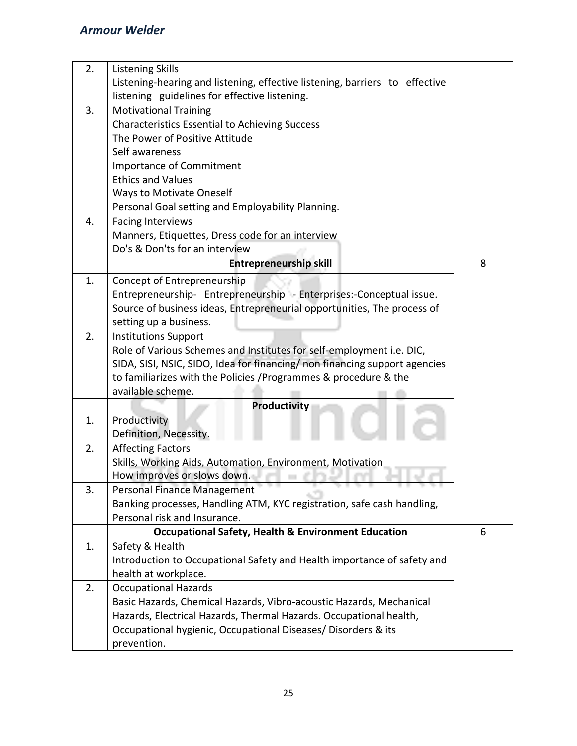| 2. | <b>Listening Skills</b>                                                     |   |
|----|-----------------------------------------------------------------------------|---|
|    | Listening-hearing and listening, effective listening, barriers to effective |   |
|    | listening guidelines for effective listening.                               |   |
| 3. | <b>Motivational Training</b>                                                |   |
|    | Characteristics Essential to Achieving Success                              |   |
|    | The Power of Positive Attitude                                              |   |
|    | Self awareness                                                              |   |
|    | Importance of Commitment                                                    |   |
|    | <b>Ethics and Values</b>                                                    |   |
|    | <b>Ways to Motivate Oneself</b>                                             |   |
|    | Personal Goal setting and Employability Planning.                           |   |
| 4. | <b>Facing Interviews</b>                                                    |   |
|    | Manners, Etiquettes, Dress code for an interview                            |   |
|    | Do's & Don'ts for an interview                                              |   |
|    | <b>Entrepreneurship skill</b>                                               | 8 |
| 1. | Concept of Entrepreneurship                                                 |   |
|    | Entrepreneurship- Entrepreneurship - Enterprises:-Conceptual issue.         |   |
|    | Source of business ideas, Entrepreneurial opportunities, The process of     |   |
|    | setting up a business.                                                      |   |
| 2. | <b>Institutions Support</b>                                                 |   |
|    | Role of Various Schemes and Institutes for self-employment i.e. DIC,        |   |
|    | SIDA, SISI, NSIC, SIDO, Idea for financing/ non financing support agencies  |   |
|    | to familiarizes with the Policies / Programmes & procedure & the            |   |
|    | available scheme.                                                           |   |
|    | <b>Productivity</b>                                                         |   |
| 1. | Productivity                                                                |   |
|    | Definition, Necessity.                                                      |   |
| 2. | <b>Affecting Factors</b>                                                    |   |
|    | Skills, Working Aids, Automation, Environment, Motivation                   |   |
|    | How improves or slows down.                                                 |   |
| 3. | Personal Finance Management                                                 |   |
|    | Banking processes, Handling ATM, KYC registration, safe cash handling,      |   |
|    | Personal risk and Insurance.                                                |   |
|    | <b>Occupational Safety, Health &amp; Environment Education</b>              | 6 |
| 1. | Safety & Health                                                             |   |
|    | Introduction to Occupational Safety and Health importance of safety and     |   |
|    | health at workplace.                                                        |   |
| 2. | <b>Occupational Hazards</b>                                                 |   |
|    | Basic Hazards, Chemical Hazards, Vibro-acoustic Hazards, Mechanical         |   |
|    | Hazards, Electrical Hazards, Thermal Hazards. Occupational health,          |   |
|    | Occupational hygienic, Occupational Diseases/ Disorders & its               |   |
|    | prevention.                                                                 |   |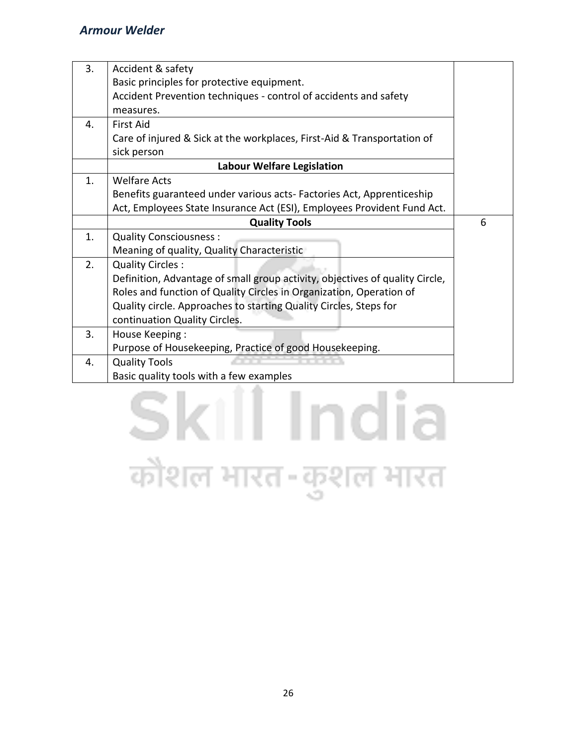| 3. | Accident & safety                                                            |   |  |  |
|----|------------------------------------------------------------------------------|---|--|--|
|    | Basic principles for protective equipment.                                   |   |  |  |
|    | Accident Prevention techniques - control of accidents and safety             |   |  |  |
|    | measures.                                                                    |   |  |  |
| 4. | <b>First Aid</b>                                                             |   |  |  |
|    | Care of injured & Sick at the workplaces, First-Aid & Transportation of      |   |  |  |
|    | sick person                                                                  |   |  |  |
|    | <b>Labour Welfare Legislation</b>                                            |   |  |  |
| 1. | <b>Welfare Acts</b>                                                          |   |  |  |
|    | Benefits guaranteed under various acts-Factories Act, Apprenticeship         |   |  |  |
|    | Act, Employees State Insurance Act (ESI), Employees Provident Fund Act.      |   |  |  |
|    | <b>Quality Tools</b>                                                         | 6 |  |  |
| 1. | <b>Quality Consciousness:</b>                                                |   |  |  |
|    | Meaning of quality, Quality Characteristic                                   |   |  |  |
| 2. | <b>Quality Circles:</b>                                                      |   |  |  |
|    | Definition, Advantage of small group activity, objectives of quality Circle, |   |  |  |
|    | Roles and function of Quality Circles in Organization, Operation of          |   |  |  |
|    | Quality circle. Approaches to starting Quality Circles, Steps for            |   |  |  |
|    | continuation Quality Circles.                                                |   |  |  |
| 3. | House Keeping:                                                               |   |  |  |
|    | Purpose of Housekeeping, Practice of good Housekeeping.                      |   |  |  |
| 4. | <b>Quality Tools</b>                                                         |   |  |  |
|    | Basic quality tools with a few examples                                      |   |  |  |

# Skill India कौशल भारत-कुशल भारत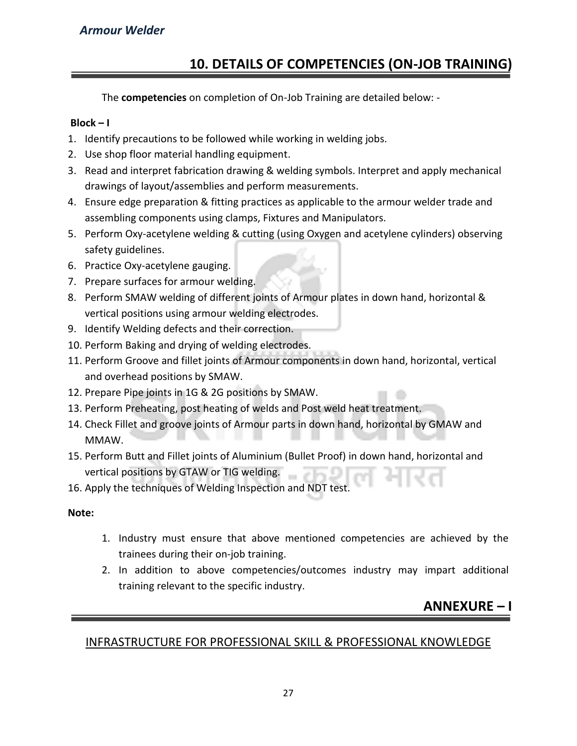# **10. DETAILS OF COMPETENCIES (ON-JOB TRAINING)**

The **competencies** on completion of On-Job Training are detailed below: -

#### **Block – I**

- 1. Identify precautions to be followed while working in welding jobs.
- 2. Use shop floor material handling equipment.
- 3. Read and interpret fabrication drawing & welding symbols. Interpret and apply mechanical drawings of layout/assemblies and perform measurements.
- 4. Ensure edge preparation & fitting practices as applicable to the armour welder trade and assembling components using clamps, Fixtures and Manipulators.
- 5. Perform Oxy-acetylene welding & cutting (using Oxygen and acetylene cylinders) observing safety guidelines.
- 6. Practice Oxy-acetylene gauging.
- 7. Prepare surfaces for armour welding.
- 8. Perform SMAW welding of different joints of Armour plates in down hand, horizontal & vertical positions using armour welding electrodes.
- 9. Identify Welding defects and their correction.
- 10. Perform Baking and drying of welding electrodes.
- 11. Perform Groove and fillet joints of Armour components in down hand, horizontal, vertical and overhead positions by SMAW.
- 12. Prepare Pipe joints in 1G & 2G positions by SMAW.
- 13. Perform Preheating, post heating of welds and Post weld heat treatment.
- 14. Check Fillet and groove joints of Armour parts in down hand, horizontal by GMAW and MMAW.
- 15. Perform Butt and Fillet joints of Aluminium (Bullet Proof) in down hand, horizontal and vertical positions by GTAW or TIG welding.
- 16. Apply the techniques of Welding Inspection and NDT test.

**Note:** 

- 1. Industry must ensure that above mentioned competencies are achieved by the trainees during their on-job training.
- 2. In addition to above competencies/outcomes industry may impart additional training relevant to the specific industry.

# **ANNEXURE – I**

# INFRASTRUCTURE FOR PROFESSIONAL SKILL & PROFESSIONAL KNOWLEDGE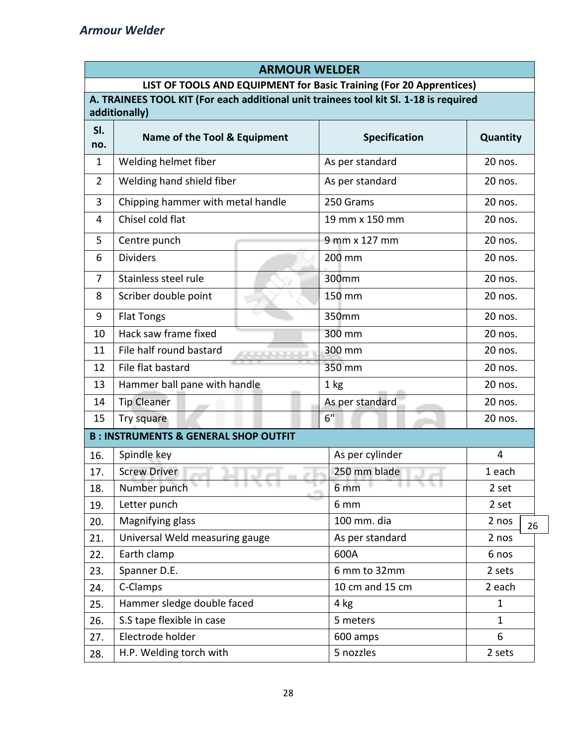| <b>ARMOUR WELDER</b> |                                                                                                        |                      |              |  |  |  |  |
|----------------------|--------------------------------------------------------------------------------------------------------|----------------------|--------------|--|--|--|--|
|                      | LIST OF TOOLS AND EQUIPMENT for Basic Training (For 20 Apprentices)                                    |                      |              |  |  |  |  |
|                      | A. TRAINEES TOOL KIT (For each additional unit trainees tool kit Sl. 1-18 is required<br>additionally) |                      |              |  |  |  |  |
| SI.                  |                                                                                                        |                      |              |  |  |  |  |
| no.                  | Name of the Tool & Equipment                                                                           | <b>Specification</b> | Quantity     |  |  |  |  |
| $\mathbf{1}$         | Welding helmet fiber                                                                                   | As per standard      | 20 nos.      |  |  |  |  |
| $\overline{2}$       | Welding hand shield fiber                                                                              | As per standard      | 20 nos.      |  |  |  |  |
| 3                    | Chipping hammer with metal handle                                                                      | 250 Grams            | 20 nos.      |  |  |  |  |
| 4                    | Chisel cold flat                                                                                       | 19 mm x 150 mm       | 20 nos.      |  |  |  |  |
| 5                    | Centre punch                                                                                           | 9 mm x 127 mm        | 20 nos.      |  |  |  |  |
| 6                    | <b>Dividers</b>                                                                                        | 200 mm               | 20 nos.      |  |  |  |  |
| $\overline{7}$       | Stainless steel rule                                                                                   | 300mm                | 20 nos.      |  |  |  |  |
| 8                    | Scriber double point                                                                                   | 150 mm               | 20 nos.      |  |  |  |  |
| 9                    | <b>Flat Tongs</b>                                                                                      | 350mm                | 20 nos.      |  |  |  |  |
| 10                   | Hack saw frame fixed                                                                                   | 300 mm               | 20 nos.      |  |  |  |  |
| 11                   | File half round bastard                                                                                | 300 mm               | 20 nos.      |  |  |  |  |
| 12                   | File flat bastard                                                                                      | 350 mm               | 20 nos.      |  |  |  |  |
| 13                   | Hammer ball pane with handle                                                                           | 1 kg                 | 20 nos.      |  |  |  |  |
| 14                   | <b>Tip Cleaner</b>                                                                                     | As per standard      | 20 nos.      |  |  |  |  |
| 15                   | Try square                                                                                             | 6"                   | 20 nos.      |  |  |  |  |
|                      | <b>B: INSTRUMENTS &amp; GENERAL SHOP OUTFIT</b>                                                        |                      |              |  |  |  |  |
| 16.                  | Spindle key                                                                                            | As per cylinder      | 4            |  |  |  |  |
| 17.                  | <b>Screw Driver</b><br>راس ال<br>$\sim$                                                                | 250 mm blade         | 1 each       |  |  |  |  |
| 18.                  | Number punch<br>न एक प                                                                                 | 6 mm                 | 2 set        |  |  |  |  |
| 19.                  | Letter punch                                                                                           | 6 mm                 | 2 set        |  |  |  |  |
| 20.                  | Magnifying glass                                                                                       | 100 mm. dia          | 2 nos<br>26  |  |  |  |  |
| 21.                  | Universal Weld measuring gauge                                                                         | As per standard      | 2 nos        |  |  |  |  |
| 22.                  | Earth clamp                                                                                            | 600A                 | 6 nos        |  |  |  |  |
| 23.                  | Spanner D.E.                                                                                           | 6 mm to 32mm         | 2 sets       |  |  |  |  |
| 24.                  | C-Clamps                                                                                               | 10 cm and 15 cm      | 2 each       |  |  |  |  |
| 25.                  | Hammer sledge double faced                                                                             | 4 kg                 | $\mathbf{1}$ |  |  |  |  |
| 26.                  | S.S tape flexible in case                                                                              | 5 meters             | $\mathbf{1}$ |  |  |  |  |
| 27.                  | Electrode holder                                                                                       | 600 amps             | 6            |  |  |  |  |
| 28.                  | H.P. Welding torch with                                                                                | 5 nozzles<br>2 sets  |              |  |  |  |  |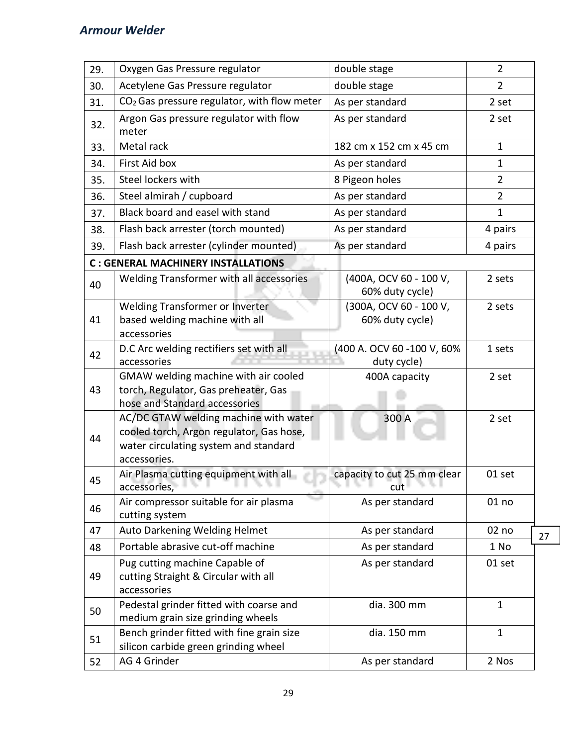| 29. | Oxygen Gas Pressure regulator                                                                                                              | double stage                                | $\overline{2}$ |    |
|-----|--------------------------------------------------------------------------------------------------------------------------------------------|---------------------------------------------|----------------|----|
| 30. | Acetylene Gas Pressure regulator                                                                                                           | double stage                                | $\overline{2}$ |    |
| 31. | CO <sub>2</sub> Gas pressure regulator, with flow meter                                                                                    | As per standard                             | 2 set          |    |
| 32. | Argon Gas pressure regulator with flow<br>meter                                                                                            | As per standard                             | 2 set          |    |
| 33. | Metal rack                                                                                                                                 | 182 cm x 152 cm x 45 cm                     | $\mathbf{1}$   |    |
| 34. | First Aid box                                                                                                                              | As per standard                             | $\mathbf{1}$   |    |
| 35. | Steel lockers with                                                                                                                         | 8 Pigeon holes                              | $\overline{2}$ |    |
| 36. | Steel almirah / cupboard                                                                                                                   | As per standard                             | $\overline{2}$ |    |
| 37. | Black board and easel with stand                                                                                                           | As per standard                             | $\mathbf{1}$   |    |
| 38. | Flash back arrester (torch mounted)                                                                                                        | As per standard                             | 4 pairs        |    |
| 39. | Flash back arrester (cylinder mounted)                                                                                                     | As per standard                             | 4 pairs        |    |
|     | <b>C: GENERAL MACHINERY INSTALLATIONS</b>                                                                                                  |                                             |                |    |
| 40  | Welding Transformer with all accessories                                                                                                   | (400A, OCV 60 - 100 V,<br>60% duty cycle)   | 2 sets         |    |
| 41  | Welding Transformer or Inverter<br>based welding machine with all<br>accessories                                                           | (300A, OCV 60 - 100 V,<br>60% duty cycle)   | 2 sets         |    |
| 42  | D.C Arc welding rectifiers set with all<br>accessories                                                                                     | (400 A. OCV 60 -100 V, 60%<br>duty cycle)   | 1 sets         |    |
| 43  | GMAW welding machine with air cooled<br>torch, Regulator, Gas preheater, Gas<br>hose and Standard accessories                              | 400A capacity                               | 2 set          |    |
| 44  | AC/DC GTAW welding machine with water<br>cooled torch, Argon regulator, Gas hose,<br>water circulating system and standard<br>accessories. | 300 A                                       | 2 set          |    |
| 45  | Air Plasma cutting equipment with all<br>accessories,                                                                                      | capacity to cut 25 mm clear<br>N N I<br>cut | 01 set         |    |
| 46  | Air compressor suitable for air plasma<br>cutting system                                                                                   | As per standard                             | 01 no          |    |
| 47  | Auto Darkening Welding Helmet                                                                                                              | As per standard                             | 02 no          | 27 |
| 48  | Portable abrasive cut-off machine                                                                                                          | As per standard                             | 1 No           |    |
| 49  | Pug cutting machine Capable of<br>cutting Straight & Circular with all<br>accessories                                                      | As per standard                             | 01 set         |    |
| 50  | Pedestal grinder fitted with coarse and<br>medium grain size grinding wheels                                                               | dia. 300 mm                                 | $\mathbf{1}$   |    |
| 51  | Bench grinder fitted with fine grain size<br>silicon carbide green grinding wheel                                                          | dia. 150 mm                                 | $\mathbf{1}$   |    |
| 52  | AG 4 Grinder                                                                                                                               | As per standard                             | 2 Nos          |    |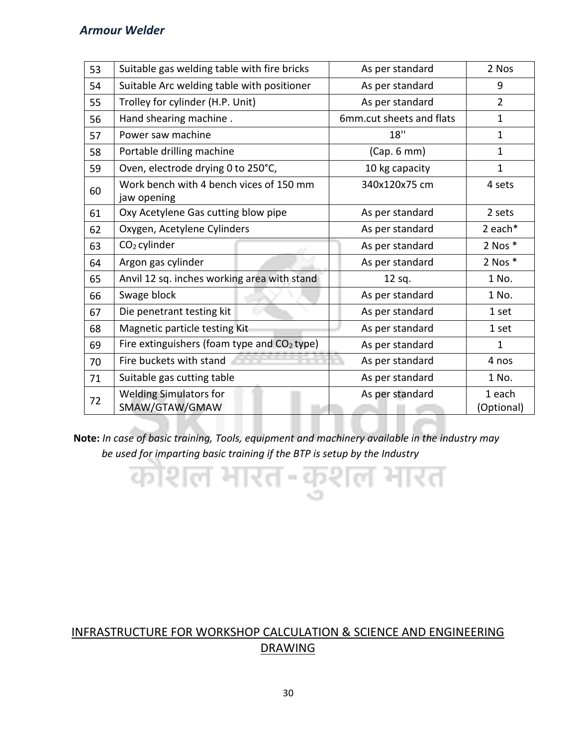| 53 | Suitable gas welding table with fire bricks            | As per standard          | 2 Nos                |
|----|--------------------------------------------------------|--------------------------|----------------------|
| 54 | Suitable Arc welding table with positioner             | As per standard          | 9                    |
| 55 | Trolley for cylinder (H.P. Unit)                       | As per standard          | $\overline{2}$       |
| 56 | Hand shearing machine.                                 | 6mm.cut sheets and flats | $\mathbf{1}$         |
| 57 | Power saw machine                                      | 18"                      | $\mathbf 1$          |
| 58 | Portable drilling machine                              | (Cap. 6 mm)              | $\mathbf{1}$         |
| 59 | Oven, electrode drying 0 to 250°C,                     | 10 kg capacity           | $\mathbf{1}$         |
| 60 | Work bench with 4 bench vices of 150 mm<br>jaw opening | 340x120x75 cm            | 4 sets               |
| 61 | Oxy Acetylene Gas cutting blow pipe                    | As per standard          | 2 sets               |
| 62 | Oxygen, Acetylene Cylinders                            | As per standard          | 2 each*              |
| 63 | CO <sub>2</sub> cylinder                               | As per standard          | 2 Nos $*$            |
| 64 | Argon gas cylinder                                     | As per standard          | $2$ Nos $*$          |
| 65 | Anvil 12 sq. inches working area with stand            | 12 sq.                   | 1 No.                |
| 66 | Swage block                                            | As per standard          | 1 No.                |
| 67 | Die penetrant testing kit                              | As per standard          | 1 set                |
| 68 | Magnetic particle testing Kit                          | As per standard          | 1 set                |
| 69 | Fire extinguishers (foam type and CO2 type)            | As per standard          | $\mathbf{1}$         |
| 70 | Fire buckets with stand                                | As per standard          | 4 nos                |
| 71 | Suitable gas cutting table                             | As per standard          | 1 No.                |
| 72 | <b>Welding Simulators for</b><br>SMAW/GTAW/GMAW        | As per standard          | 1 each<br>(Optional) |

**Note:** *In case of basic training, Tools, equipment and machinery available in the industry may*  *be used for imparting basic training if the BTP is setup by the Industry*

त्रशल भारत-कशल भारत

# INFRASTRUCTURE FOR WORKSHOP CALCULATION & SCIENCE AND ENGINEERING DRAWING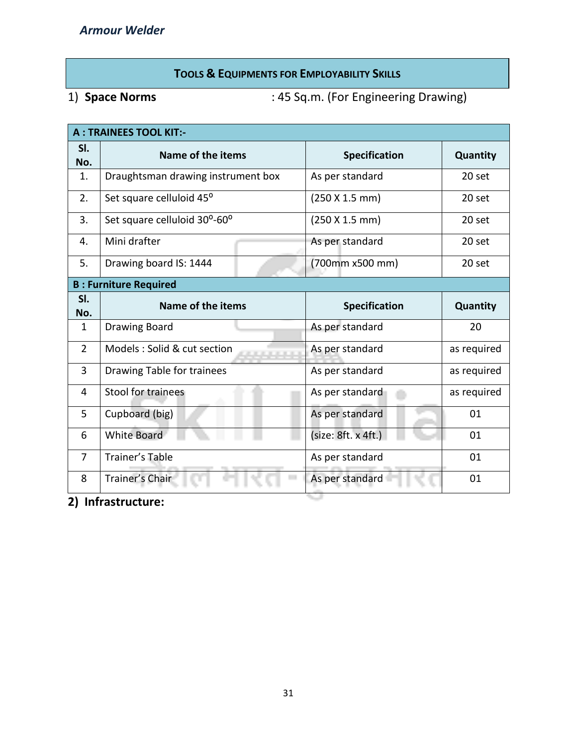# **TOOLS & EQUIPMENTS FOR EMPLOYABILITY SKILLS**

1) **Space Norms** : 45 Sq.m. (For Engineering Drawing)

| <b>A: TRAINEES TOOL KIT:-</b> |                                    |  |  |                      |             |
|-------------------------------|------------------------------------|--|--|----------------------|-------------|
| SI.<br>No.                    | Name of the items                  |  |  | Specification        | Quantity    |
| 1.                            | Draughtsman drawing instrument box |  |  | As per standard      | 20 set      |
| 2.                            | Set square celluloid 45°           |  |  | (250 X 1.5 mm)       | 20 set      |
| 3.                            | Set square celluloid 30°-60°       |  |  | (250 X 1.5 mm)       | 20 set      |
| 4.                            | Mini drafter                       |  |  | As per standard      | 20 set      |
| 5.                            | Drawing board IS: 1444             |  |  | (700mm x500 mm)      | 20 set      |
|                               | <b>B: Furniture Required</b>       |  |  |                      |             |
| SI.<br>No.                    | Name of the items                  |  |  | <b>Specification</b> | Quantity    |
| $\mathbf{1}$                  | Drawing Board                      |  |  | As per standard      | 20          |
| $\overline{2}$                | Models: Solid & cut section        |  |  | As per standard      | as required |
| 3                             | Drawing Table for trainees         |  |  | As per standard      | as required |
| 4                             | Stool for trainees                 |  |  | As per standard      | as required |
| 5                             | Cupboard (big)                     |  |  | As per standard      | 01          |
| 6                             | <b>White Board</b>                 |  |  | (size: 8ft. x 4ft.)  | 01          |
| $\overline{7}$                | Trainer's Table                    |  |  | As per standard      | 01          |
| 8                             | Trainer's Chair                    |  |  | As per standard      | 01          |

w

**2) Infrastructure:**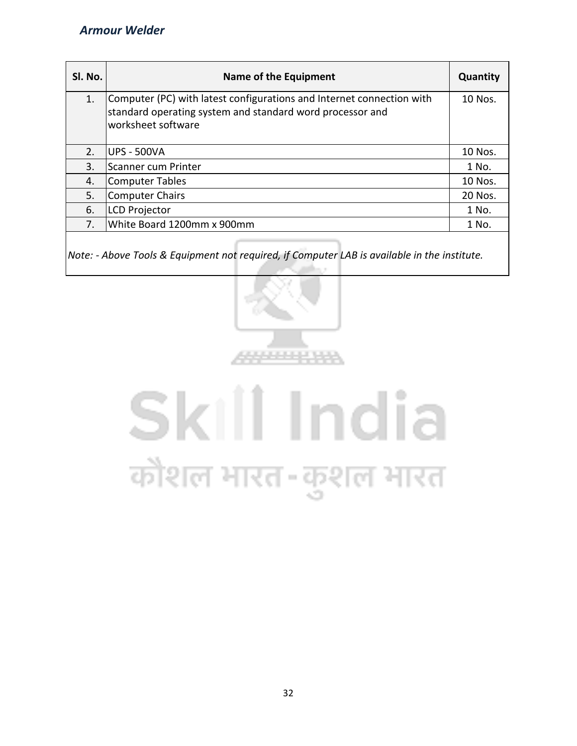| SI. No. | Name of the Equipment                                                                                                                                    | Quantity |
|---------|----------------------------------------------------------------------------------------------------------------------------------------------------------|----------|
| 1.      | Computer (PC) with latest configurations and Internet connection with<br>standard operating system and standard word processor and<br>worksheet software | 10 Nos.  |
| 2.      | <b>UPS - 500VA</b>                                                                                                                                       | 10 Nos.  |
| 3.      | Scanner cum Printer                                                                                                                                      | 1 No.    |
| 4.      | <b>Computer Tables</b>                                                                                                                                   | 10 Nos.  |
| 5.      | <b>Computer Chairs</b>                                                                                                                                   | 20 Nos.  |
| 6.      | <b>LCD Projector</b>                                                                                                                                     | 1 No.    |
| 7.      | White Board 1200mm x 900mm                                                                                                                               | 1 No.    |
|         |                                                                                                                                                          |          |

*Note: - Above Tools & Equipment not required, if Computer LAB is available in the institute.*



# Skill India कौशल भारत-कुशल भारत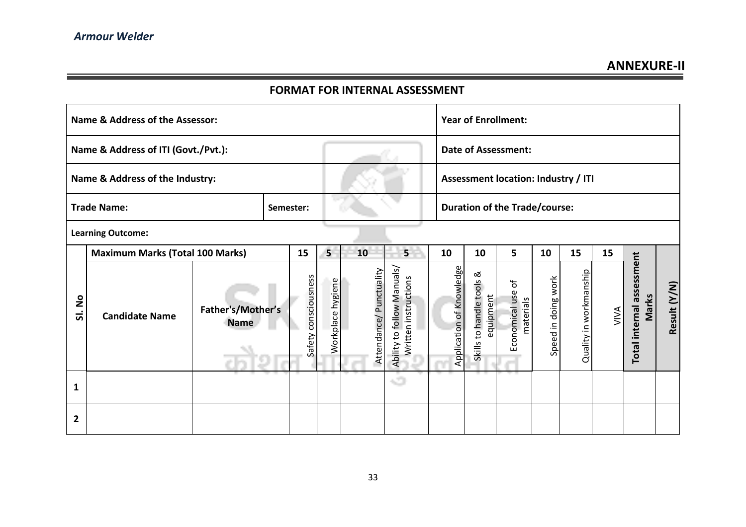# **FORMAT FOR INTERNAL ASSESSMENT**

| Name & Address of the Assessor: |                                        |                                  |           |                         |                   |                            | <b>Year of Enrollment:</b>                         |                          |                                          |                                      |                     |                        |      |                                    |              |
|---------------------------------|----------------------------------------|----------------------------------|-----------|-------------------------|-------------------|----------------------------|----------------------------------------------------|--------------------------|------------------------------------------|--------------------------------------|---------------------|------------------------|------|------------------------------------|--------------|
|                                 | Name & Address of ITI (Govt./Pvt.):    |                                  |           |                         |                   |                            |                                                    |                          | <b>Date of Assessment:</b>               |                                      |                     |                        |      |                                    |              |
|                                 | Name & Address of the Industry:        |                                  |           |                         |                   |                            |                                                    |                          | Assessment location: Industry / ITI      |                                      |                     |                        |      |                                    |              |
|                                 | <b>Trade Name:</b>                     |                                  | Semester: |                         |                   |                            |                                                    |                          |                                          | <b>Duration of the Trade/course:</b> |                     |                        |      |                                    |              |
|                                 | <b>Learning Outcome:</b>               |                                  |           |                         |                   |                            |                                                    |                          |                                          |                                      |                     |                        |      |                                    |              |
|                                 | <b>Maximum Marks (Total 100 Marks)</b> |                                  |           | 15                      | 5                 | 10                         | 5                                                  | 10                       | 10                                       | 5                                    | 10                  | 15                     | 15   |                                    |              |
| ş<br>ಹ                          | <b>Candidate Name</b>                  | Father's/Mother's<br><b>Name</b> |           | consciousness<br>Safety | Workplace hygiene | Punctuality<br>Attendance/ | Ability to follow Manuals,<br>Written instructions | Application of Knowledge | ≪<br>Skills to handle tools<br>equipment | Economical use of<br>materials       | Speed in doing work | Quality in workmanship | VIVA | Total internal assessment<br>Marks | Result (Y/N) |
| 1                               |                                        |                                  |           |                         |                   |                            | 40                                                 |                          |                                          |                                      |                     |                        |      |                                    |              |
| $\mathbf{2}$                    |                                        |                                  |           |                         |                   |                            |                                                    |                          |                                          |                                      |                     |                        |      |                                    |              |